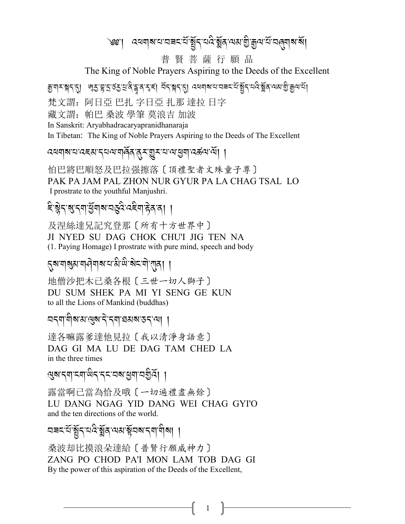৩৩:। বৰবাৰ বাবৰ বাৰ্ষু বাবৰ ষ্ট্ৰৰ বৰ গুৰু বাবৰ বাবৰ মা

普賢菩薩行願品

The King of Noble Prayers Aspiring to the Deeds of the Excellent

এ এ এবং প্ৰায় প্ৰায় বিষ্টা বিষ্টা প্ৰায় বিষ্টা বিৰিপ্ত কৰি বিষ্টা বিষ্টা বিষ্টা বিষ্টা বি

梵文謂: 阿日亞 巴扎 字日亞 扎那 達拉 日字

藏文謂: 帕巴 桑波 學筆 莫浪吉 加波

In Sanskrit: Arvabhadracarvapranidhanaraja

In Tibetan: The King of Noble Prayers Aspiring to the Deeds of The Excellent

दववारायदहसादयवार्यालकर सुराष्ट्राया सुवादकवाया ।

怕巴將巴順怒及巴拉强擦落〔頂禮聖者文殊童子尊〕 PAK PA JAM PAL ZHON NUR GYUR PA LA CHAG TSAL LO I prostrate to the youthful Manjushri.

# दिञ्जेन शुन्न सुबाब न्दुदे दद्देवा हेव वा ।

及涅絲達兄記究登那〔所有十方世界中〕 JI NYED SU DAG CHOK CHU'I JIG TEN NA (1. Paying Homage) I prostrate with pure mind, speech and body

<mark>্নুৰামাৰ্</mark>মুৰামানীমাৰামাজীয় বিদ্যালয়।

地僧沙把木已桑各根〔三世一切人獅子〕 DU SUM SHEK PA MI YI SENG GE KUN to all the Lions of Mankind (buddhas)

ন্দ্ৰাণীৰ মান্ত্ৰৰ দিব নামৰ সকলে। ।

達各嘛露爹達他見拉〔我以清淨身語意〕 DAG GI MA LU DE DAG TAM CHED LA in the three times

ড়য়ৼয়ঢ়ৼয়ড়৻ড়ৼৼ৻ৼ৸ৼ৻ড়৸ড়ড়ড়

露當啊已當為恰及哦〔一切遍禮盡無餘〕 LU DANG NGAG YID DANG WEI CHAG GYI'O and the ten directions of the world.

桑波却比摸浪朵達給〔普賢行願威神力〕 ZANG PO CHOD PA'I MON LAM TOB DAG GI By the power of this aspiration of the Deeds of the Excellent,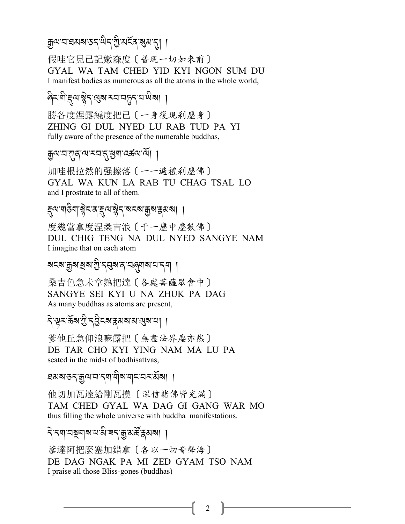ক্ৰুন্ম ব্ৰহ্মৰ হু নুদ্ৰ প্ৰয়ৰ্ত্ত প্ৰদাসী ।

假哇它見已記嫩森度〔普現一切如來前〕 GYAL WA TAM CHED YID KYI NGON SUM DU I manifest bodies as numerous as all the atoms in the whole world.

दिन्धीह्याञ्चेदख्षामयायुद्धयालेखा

勝各度涅露繞度把已〔一身復現刹塵身〕 ZHING GI DUL NYED LU RAB TUD PA YI fully aware of the presence of the numerable buddhas,

#### ক্কুন্ম'ন'গ্ৰাব্দমন'ন্'ধ্ৰুনা'ন্ক্ৰন'ন্মা ।

加哇根拉然的强擦落〔一一遍禮刹塵佛〕 GYAL WA KUN LA RAB TU CHAG TSAL LO and I prostrate to all of them.

*द्*त्यायञ्जियाञ्चेदात्रद्द्व्याञ्चेदात्रदत्र्यज्ञुत्राद्गुत्राञ्चत्रात्र ।

度幾當拿度涅桑吉浪〔于一塵中塵數佛〕 DUL CHIG TENG NA DUL NYED SANGYE NAM I imagine that on each atom

মহম'ক্কুম'ম্ৰম'শ্ৰী'ব্ৰৱম'ৰ'ব্ল্মৰাম'ম'ব্ৰা |

桑吉色急未拿熟把達〔各處菩薩眾會中〕 SANGYE SEI KYI U NA ZHUK PA DAG As many buddhas as atoms are present,

ঀ৾ড়য়ড়য়ড়ৢঢ়ঀঀড়য়ৼঀ৻৸ঀ৻ড়৻ৼ৻ড়৸ৼঀ৻

爹他丘急仰浪嘛露把〔無盡法界塵亦然〕 DE TAR CHO KYI YING NAM MA LU PA seated in the midst of bodhisattvas,

ঘমৰতন্কুন্মবন্মানীৰান্মবৰ্মৰীৰা ।

他切加瓦達給剛瓦摸〔深信諸佛皆充滿〕 TAM CHED GYAL WA DAG GI GANG WAR MO thus filling the whole universe with buddha manifestations.

दे द्वायञ्जूषाबाद्य से बद्धा सर्के द्वसबा

爹達阿把麼塞加錯拿〔各以一切音聲海〕 DE DAG NGAK PA MI ZED GYAM TSO NAM I praise all those Bliss-gones (buddhas)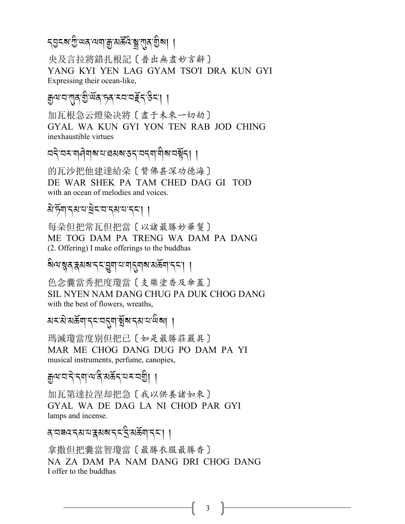### *৲*ョৼয়৾<sup>়</sup> পৰ পৰা শ্ৰু প্ৰভূত্তে খ্ৰায়ী ।

央及言拉將錯扎根記〔普出無盡妙言辭〕 YANG KYI YEN LAG GYAM TSO'I DRA KUN GYI Expressing their ocean-like,

# ক্কুন্ম'ব'ৰা্ম গ্ৰীৰ্জৰ'ম্ব'বৰ্ইন'উন'। ।

加瓦根急云燈染决將〔盡于未來一切劫〕 GYAL WA KUN GYI YON TEN RAB JOD CHING inexhaustible virtues

# নব্বম্বম্প্ৰাৰম্বেষৰতব্বম্ব্যীৰম্ভূত্ৰা ।

的瓦沙把他建達給朵〔贊佛甚深功德海〕 DE WAR SHEK PA TAM CHED DAG GI TOD with an ocean of melodies and voices.

## बे स्वादबाय बेटावादबाय दटा ।

每朵但把常瓦但把當〔以諸最勝妙華鬘〕 ME TOG DAM PA TRENG WA DAM PA DANG (2. Offering) I make offerings to the buddhas

#### য়৽৸ৼৢয়ৼৼঢ়ৼ৻ড়৸ৼ৻ৼঀ৻৸৸ৼ৻৸৸ৼ৻৸

色念囊當秀把度瓊當〔支樂塗香及傘蓋〕 SIL NYEN NAM DANG CHUG PA DUK CHOG DANG with the best of flowers, wreaths,

#### য়ৼড়৻য়ড়ৄ৸৸ৼৼৼঢ়ৼঢ়৻৸৻ড়৸৸৸

瑪滅瓊當度别但把己 〔如是最勝莊嚴具〕 MAR ME CHOG DANG DUG PO DAM PA YI musical instruments, perfume, canopies,

### क्रुव्यादादे द्वाव्यक्षेत्रकर्त्यस्य देश ।

加瓦第達拉涅却把急〔我以供養諸如來〕 GYAL WA DE DAG LA NI CHOD PAR GYI lamps and incense.

### व घबद दुवाय द्ववाब दर दे वर्कवा दरू । ।

拿撒但把囊當智瓊當〔最勝衣服最勝香〕 NA ZA DAM PA NAM DANG DRI CHOG DANG I offer to the buddhas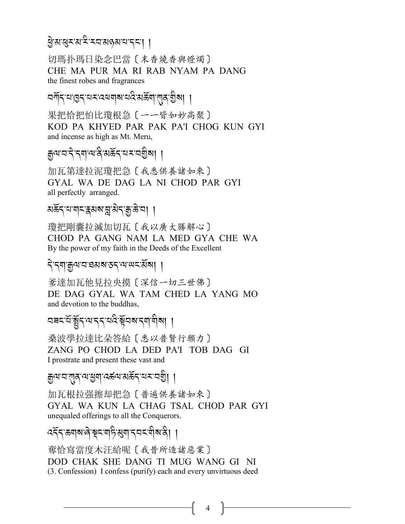### बे बालू राज्य रे रव बढ़ बाया दवा

切瑪扑瑪日染念巴當〔末香燒香與燈燭〕 CHE MA PUR MA RI RAB NYAM PA DANG the finest robes and fragrances

নৰ্শন্বোত্তন্বেমব্বৰাৰ নবিষ্ক্ৰীয়াৰ গ্ৰীৰা ।

果把恰把怕比瓊根急〔一一皆如妙高聚〕 KOD PA KHYED PAR PAK PA'I CHOG KUN GYI and incense as high as Mt. Meru,

# ক্কুন্মানাৰ বিশ্বয়ে বিশ্ববিদ্যা ।

加瓦第達拉泥瓊把急〔我悉供養諸如來〕 GYAL WA DE DAG LA NI CHOD PAR GYI all perfectly arranged.

अर्केदप्पायदद्वयबाद्वासेदक्षु के या ।

瓊把剛囊拉滅加切瓦〔我以廣大勝解心〕 CHOD PA GANG NAM LA MED GYA CHE WA By the power of my faith in the Deeds of the Excellent

<u> বিধিয়া খিলা বিধিয়া ।</u>

爹達加瓦他見拉央摸〔深信一切三世佛〕 DE DAG GYAL WA TAM CHED LA YANG MO and devotion to the buddhas,

অৰহ'ৰ্যস্থ্ৰীব্ৰ'ম'ব্ব'ৰ্ম্মই ইমৰু'ব্ৰাশীৰ্ষা ।

桑波學拉達比朵答給〔悉以普賢行願力〕 ZANG PO CHOD LA DED PA'I TOB DAG GI I prostrate and present these vast and

ক্রুন্মান'শ্মুন'ন্মস্ত্রনা'নর্স্কন'ন্মন'নগ্রী। ।

加瓦根拉强擦却把急〔普遍供養諸如來〕 GYAL WA KUN LA CHAG TSAL CHOD PAR GYI unequaled offerings to all the Conquerors.

दद्दञ्ज्ञाबल्बिरुद्यार्हिखगद्यद्यवीबादी ।

奪恰寫當度木汪給呢〔我昔所造諸惡業〕 DOD CHAK SHE DANG TI MUG WANG GI NI (3. Confession) I confess (purify) each and every unvirtuous deed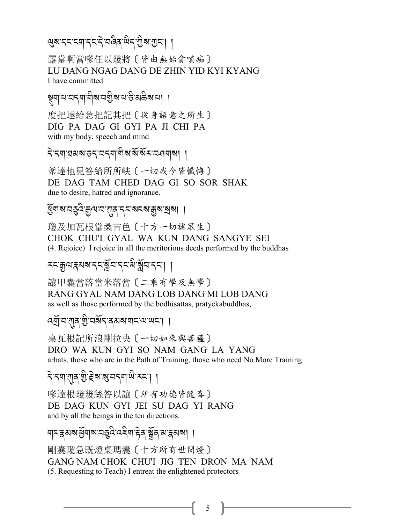$$
\mathbb{Q} \textnormal{N} \textnormal{K} \textnormal{K} \textnormal{N} \textnormal{N} \textnormal{K} \textnormal{N} \textnormal{N} \textnormal{N} \textnormal{N} \textnormal{N} \textnormal{N} \textnormal{N} \textnormal{N} \textnormal{N} \textnormal{N} \textnormal{N} \textnormal{N} \textnormal{N} \textnormal{N} \textnormal{N} \textnormal{N} \textnormal{N} \textnormal{N} \textnormal{N} \textnormal{N} \textnormal{N} \textnormal{N} \textnormal{N} \textnormal{N} \textnormal{N} \textnormal{N} \textnormal{N} \textnormal{N} \textnormal{N} \textnormal{N} \textnormal{N} \textnormal{N} \textnormal{N} \textnormal{N} \textnormal{N} \textnormal{N} \textnormal{N} \textnormal{N} \textnormal{N} \textnormal{N} \textnormal{N} \textnormal{N} \textnormal{N} \textnormal{N} \textnormal{N} \textnormal{N} \textnormal{N} \textnormal{N} \textnormal{N} \textnormal{N} \textnormal{N} \textnormal{N} \textnormal{N} \textnormal{N} \textnormal{N} \textnormal{N} \textnormal{N} \textnormal{N} \textnormal{N} \textnormal{N} \textnormal{N} \textnormal{N} \textnormal{N} \textnormal{N} \textnormal{N} \textnormal{N} \textnormal{N} \textnormal{N} \textnormal{N} \textnormal{N} \textnormal{N} \textnormal{N} \textnormal{N} \textnormal{N} \textnormal{N} \textnormal{N} \textnormal{N} \textnormal{N} \textnormal{N} \textnormal{N} \textnormal{N} \textnormal{N} \textnormal{N} \textnormal{N} \textnormal{N} \textnormal{N} \textnormal{N} \textnormal{N} \textnormal{N} \textnormal{N} \textnormal{N} \textnormal{N} \textnormal{N} \textnormal{N} \textnormal{N} \textnormal{N} \textnormal{N} \textnormal{N} \textnormal{N} \textnormal{N} \textnormal{N} \textnormal{N} \textnormal{N} \textnormal{N} \textnormal{N} \textnormal{N} \textnormal{N} \textnormal{N} \textnormal{N} \textnormal{N} \textnormal{N} \textnormal{N} \textnormal{N} \textnormal{N} \textnormal{N} \textnormal{N} \textnormal{N} \textnormal{N} \textnormal{N} \textnormal{
$$

露當啊當嗲任以幾將〔皆由無始貪嗔痴〕 LU DANG NGAG DANG DE ZHIN YID KYI KYANG I have committed

ষ্ণুমান্দেনমান্দীৰ নগ্ৰীৰ নাস্তি অন্তৰ্যায়।

度把達給急把記其把〔從身語意之所生〕 DIG PA DAG GI GYI PA JI CHI PA with my body, speech and mind

বিৰোধমন্তবৰেৰাণীৰ মিম অনবাৰা ।

爹達他見答給所所峽〔一切我今皆懺悔〕 DE DAG TAM CHED DAG GI SO SOR SHAK due to desire, hatred and ignorance.

瓊及加瓦根當桑吉色〔十方一切諸眾生〕 CHOK CHU'I GYAL WA KUN DANG SANGYE SEI (4. Rejoice) I rejoice in all the meritorious deeds performed by the buddhas

#### *৲*য়ড়ৢ৻<sub>য়</sub>ৼঀৼ৶৶ৼ৻ৼ৻ৼ৻ৼ৻৻৸৸৸ৼ৻ৼ৻৸

讓甲囊當落當米落當 〔二乘有學及無學〕 RANG GYAL NAM DANG LOB DANG MI LOB DANG as well as those performed by the bodhisattas, pratyekabuddhas,

ৰ্মীঘ'বাৰ'মী নৰু এখৰ আৰু বেলে ।

桌瓦根記所浪剛拉央〔一切如來與菩薩〕 DRO WA KUN GYI SO NAM GANG LA YANG arhats, those who are in the Path of Training, those who need No More Training

<u> বিধেয়াৰ গ্ৰীষ্ট ৰাৰাবাৰ আৰু বিধেয়া</u>

嗲達根幾幾絲答以讓〔所有功德皆隨喜〕 DE DAG KUN GYI JEI SU DAG YI RANG and by all the beings in the ten directions.

<u>য়ঢ়ৼয়৶য়ড়ৢয়৾য়৻ৼড়ৡ৻ৼ৻ড়৻য়ড়৻ড়৻ড়৻ড়৻৸</u>৸

剛囊瓊急既燈桌瑪囊〔十方所有世間燈〕 GANG NAM CHOK CHU'I JIG TEN DRON MA NAM (5. Requesting to Teach) I entreat the enlightened protectors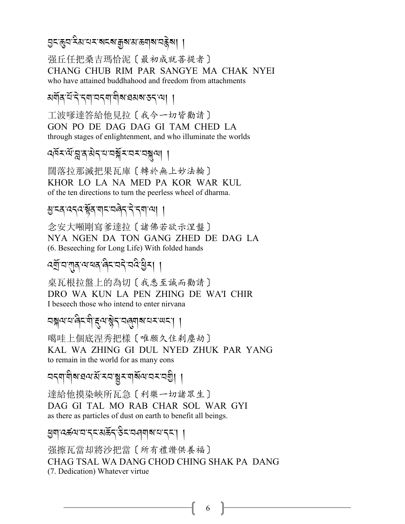এখপ্ৰাস্থ্ৰা স্থানৰ স্থায় স্থান স্থান স্থা

强丘任把桑吉瑪恰泥〔最初成就菩提者〕 CHANG CHUB RIM PAR SANGYE MA CHAK NYEI who have attained buddhahood and freedom from attachments

মর্ণবি'র্ন'ন্ন'নন্না'নীৰ অমৰ্যন্তন্বা ।

工波嗲達答給他見拉〔我今一切皆勸請〕 GON PO DE DAG DAG GI TAM CHED LA through stages of enlightenment, and who illuminate the worlds

闊落拉那滅把果瓦庫 〔轉於無上妙法輪〕 KHOR LO LA NA MED PA KOR WAR KUL of the ten directions to turn the peerless wheel of dharma.

### अन्व दन्दर्भूव यान्त्वेन ने नयाया ।

念安大噸剛寫爹達拉〔諸佛若欲示涅盤〕 NYA NGEN DA TON GANG ZHED DE DAG LA (6. Beseeching for Long Life) With folded hands

#### ৰ্শ্ৰ্বি'ন'মা্ব'ন'ম্বৰ'ৰিম'নৰী' বিশ্লী ।

桌瓦根拉盤上的為切〔我悉至誠而勸請〕 DRO WA KUN LA PEN ZHING DE WA'I CHIR I beseech those who intend to enter nirvana

噶哇上個底涅秀把樣〔唯願久住剎塵劫〕 KAL WA ZHING GI DUL NYED ZHUK PAR YANG to remain in the world for as many eons

নব্যামীৰ বিত্ৰয়ূত্ৰ প্ৰত্যালয় প্ৰত্যা ।

達給他摸染峽所瓦急〔利樂一切諸眾生〕 DAG GI TAL MO RAB CHAR SOL WAR GYI as there as particles of dust on earth to benefit all beings.

बुषाद्बलायाद्राथकेंद्रुटायलबाबायाद्रा ।

强擦瓦當却將沙把當〔所有禮讚供養福〕 CHAG TSAL WA DANG CHOD CHING SHAK PA DANG (7. Dedication) Whatever virtue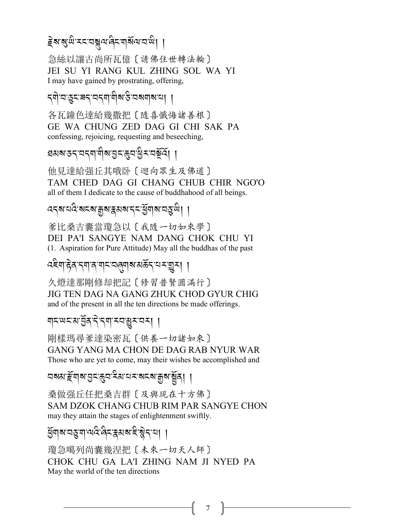# हेबाबुखे रदवब्रूवालेदवर्बिलावाले। ।

急絲以讓古尚所瓦億〔請佛住世轉法輪〕 JEI SU YI RANG KUL ZHING SOL WA YI I may have gained by prostrating, offering,

<শ`¤ॱহু<ॱ੩< '¤<শॱশীৰ উ`অৰ্শৰ মা ।

各瓦鐘色達給幾撒把〔隨喜懺悔諸善根〕 GE WA CHUNG ZED DAG GI CHI SAK PA confessing, rejoicing, requesting and beseeching,

ঘমৰতন্'নন্মা'মীৰ'ম্ভন'ক্তুন'থ্ৰীন'নৰ্মূৰ্ব। ।

他見達給强丘其哦卧〔迴向眾生及佛道〕 TAM CHED DAG GI CHANG CHUB CHIR NGO'O all of them I dedicate to the cause of buddhahood of all beings.

दद्रुषायदि राज्य क्रम अप्रत्य प्रत्य सुर्या ।

爹比桑吉囊當瓊急以〔我隨一切如來學〕 DEI PA'I SANGYE NAM DANG CHOK CHU YI (1. Aspiration for Pure Attitude) May all the buddhas of the past

*द*द्देवाद्गेद दवाद वाद वलुबाद्य अर्केद वस् युरु । ।

久燈達那剛修却把記〔修習普賢圓滿行〕 JIG TEN DAG NA GANG ZHUK CHOD GYUR CHIG and of the present in all the ten directions be made offerings.

য়য়ড়য়য়ড়ৢ৶ৼ৻ৼ৻৸৸ৼয়

剛樣瑪尋爹達染密瓦〔供養一切諸如來〕 GANG YANG MA CHON DE DAG RAB NYUR WAR Those who are yet to come, may their wishes be accomplished and

<u>ଘরুগাইঁ</u>বারা গ্রন্থপ্রেন মিমানেম ব্রান্ত ব্রান্থ বিধি

桑做强丘任把桑吉群〔及與現在十方佛〕 SAM DZOK CHANG CHUB RIM PAR SANGYE CHON may they attain the stages of enlightenment swiftly.

धुँगब वङ्गमायदे बेदद्वयब है ब्रेद या ।

瓊急噶列尚囊幾涅把〔未來一切天人師〕 CHOK CHU GA LA'I ZHING NAM JI NYED PA May the world of the ten directions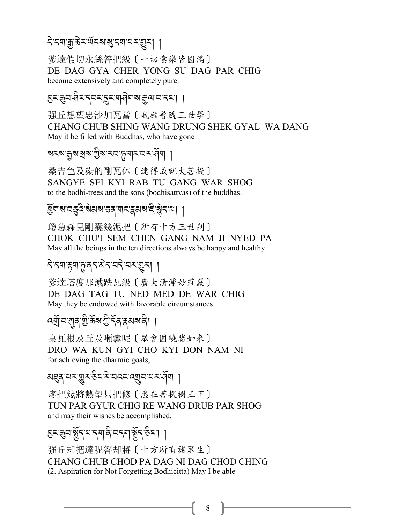# <u>२.८वां शिक्ष्ट्र्यार्थर्टर्या स्टब्स्रि</u> ।

爹達假切永絲答把級〔一切意樂皆圓滿〕 DE DAG GYA CHER YONG SU DAG PAR CHIG become extensively and completely pure.

<u>ae Aaraa (2-22-25-20)</u><br>Priferential

强丘想望忠沙加瓦當〔我願普隨三世學〕 CHANG CHUB SHING WANG DRUNG SHEK GYAL WA DANG May it be filled with Buddhas, who have gone

ৰ্মহৰ্মস্থৰ প্ৰিম হল<sup>্</sup>পৰা প্ৰৱন্ধ প্ৰদা

桑吉色及染的剛瓦休〔速得成就大菩提〕 SANGYE SEI KYI RAB TU GANG WAR SHOG to the bodhi-trees and the sons (bodhisattvas) of the buddhas.

ৰ্দ্ভিম্**মস্কেৰ্টৰ সম্প্ৰদেশ বিদ্যালয়**<br>প্ৰশাসন্ত সম্পৰ্ক সম্পৰ্ক সম্পৰ্ক সম্পৰ্ক সম্পৰ্ক সম্পৰ্ক সম্পৰ্ক সম্পৰ্ক স

瓊急森見剛囊幾泥把〔所有十方三世剎〕 CHOK CHU'I SEM CHEN GANG NAM JI NYED PA May all the beings in the ten directions always be happy and healthy.

# *.* J*-.\$-g\$-*+*-/.-3* J*.-2.* J*-2<-*I*<*,,

爹達塔度那滅跌瓦級〔廣大清淨妙莊嚴〕 DE DAG TAG TU NED MED DE WAR CHIG May they be endowed with favorable circumstances

*-*<br>বৰ্ম্ৰ'ন'মূৰ'গ্ৰীৰ্ক্টৰ'ৰ্ব্বৰ্মৰ'ৰী । A

桌瓦根及丘及噸囊呢〔眾會圍繞諸如來〕 DRO WA KUN GYI CHO KYI DON NAM NI for achieving the dharmic goals,

अञ्चल राज्य अञ्चल राज्य प्रदेश अञ्चल राज्य<br>अञ्चल राज्य अञ्चल राज्य प्रदेश अञ्चल राज्य अञ्चल राज्य स्थान  $\ddot{\phantom{a}}$ 

疼把幾將熱望只把修〔悉在菩提樹王下〕 TUN PAR GYUR CHIG RE WANG DRUB PAR SHOG and may their wishes be accomplished.

**aবঞ্জন:স্থীন, নিম্ন, প্ৰি, নিম্ন, প্ৰি, প্ৰি, নিম্ন, প্ৰি, প্ৰি, প্ৰি, প্ৰি, প্ৰি, প্ৰি, প্ৰি, প্ৰি, প্ৰি, প্ৰ** 

强丘却把達呢答却將〔十方所有諸眾生〕 CHANG CHUB CHOD PA DAG NI DAG CHOD CHING (2. Aspiration for Not Forgetting Bodhicitta) May I be able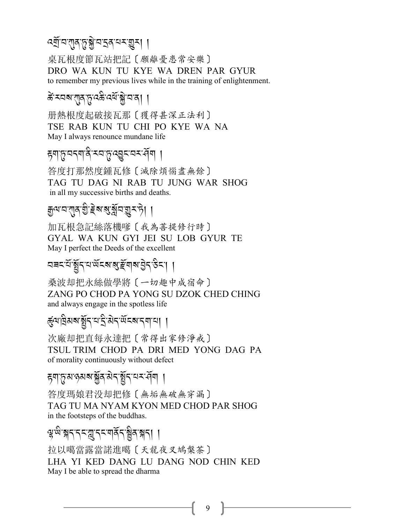# *:P*R*-2-*!*/-*+*-*\* J*-2-S/-0<-*I*<*,,

桌瓦根度節瓦站把記〔願離憂患常安樂〕 DRO WA KUN TU KYE WA DREN PAR GYUR to remember my previous lives while in the training of enlightenment.

# *कॅ* ऱ्यब'राुद्गुदक्षे दवॅ'ङ्ग्रे'य'व्| |

册熱根度起破接瓦那〔獲得甚深正法利〕 TSE RAB KUN TU CHI PO KYE WA NA May I always renounce mundane life

#### *हु*बाନु:यदबाक्षे:दय*्टे*,द्युद्धव्ययद्भवि । A

答度打那然度鍾瓦修〔滅除煩惱盡無餘〕 TAG TU DAG NI RAB TU JUNG WAR SHOG in all my successive births and deaths.

# *ৰ্ব্ৰ*্যাৱ-ব্ৰীম্প্ৰদ্ৰাপ্ৰদৰ্শন বি

加瓦根急記絲落機嗲〔我為菩提修行時〕 GYAL WA KUN GYI JEI SU LOB GYUR TE May I perfect the Deeds of the excellent

# *29% -0*R*-*,R*.-0-;*R*%?-*?*-m*R*\$?-L* J*.-&* A*%-*,,

桑波却把永絲做學將〔一切趣中成宿命〕 ZANG PO CHOD PA YONG SU DZOK CHED CHING and always engage in the spotless life

# ৰ্কুঅ'ব্ৰিমৰ্মাৰ্ষ্ট্ৰ'ন'ম<sup>2</sup>:প্ৰ*ংৰ্মৰ*'না ।

次廠却把直每永達把〔常得出家修淨戒〕 TSUL TRIM CHOD PA DRI MED YONG DAG PA of morality continuously without defect

# *ह्*यानुबाबाञ्जुबाबेदञ्जुँदायदस्वीय ।

答度瑪娘君没却把修〔無垢無破無穿漏〕 TAG TU MA NYAM KYON MED CHOD PAR SHOG in the footsteps of the buddhas.

# প্ল<sup>.</sup> স্কুন্দ্রান্দ্র - ব্রি. স্কুন্দ্র - ব্রি. স্কুন্দ্র - ব্রি. স্কুন্দ্র - ব্রি. স্কুন্দ্র - ব্রি. স্কুন্দ<br>প্রাক্তিগত - ব্রি. স্কুন্দ্র - ব্রি. স্কুন্দ্র - ব্রি. স্কুন্দ্র - ব্রি. স্কুন্দ্র - ব্রি. স্কুন্দ্র - ব্রি. স

拉以噶當露當諾進噶〔天龍夜叉鳩槃茶〕 LHA YI KED DANG LU DANG NOD CHIN KED May I be able to spread the dharma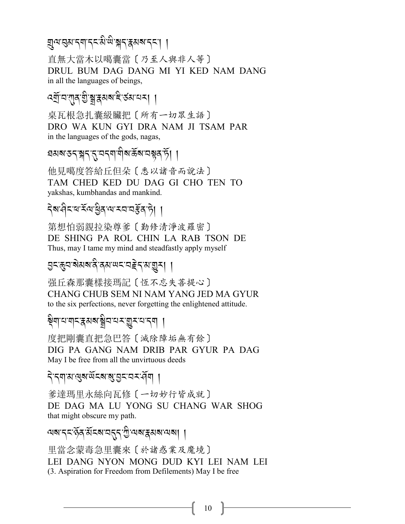# য়ৢঀয়ড়য়ৼয়ৗৼৼয়৻ড়ৣৠৼ৻ৼঀয়৸ৼঢ়ৼৗ

直無大當木以噶囊當 〔乃至人與非人等〕 DRUL BUM DAG DANG MI YI KED NAM DANG in all the languages of beings,

# ৰ্ম্ৰ্ভিয্যমূৰ খ্ৰীষ্ক্ৰৱৰ বিষয়ে ।

桌瓦根急扎囊級臟把〔所有一切眾生語〕 DRO WA KUN GYI DRA NAM JI TSAM PAR in the languages of the gods, nagas,

# ঘমৰ ডন স্নন নুমন নামীৰ উৰ মন্বন চী ।

他見噶度答給丘但朵〔悉以諸音而說法〕 TAM CHED KED DU DAG GI CHO TEN TO yakshas, kumbhandas and mankind.

# देव सेटब रॅल हुथल राजसें पड़ी ।

第想怕弱親拉染尊爹〔勤修清淨波羅密〕 DE SHING PA ROL CHIN LA RAB TSON DE Thus, may I tame my mind and steadfastly apply myself

#### 

强丘森那囊樣接瑪記〔恆不忘失善提心〕 CHANG CHUB SEM NI NAM YANG JED MA GYUR to the six perfections, never forgetting the enlightened attitude.

#### ৠয়<sup>৸</sup>য়য়ঢ়ৼয়ড়য়৾য়৸ৼয়ড়ৢয়ড়য়য়৾

度把剛囊直把急巴答〔滅除障垢無有餘〕 DIG PA GANG NAM DRIB PAR GYUR PA DAG May I be free from all the unvirtuous deeds

#### दे द्र्या अखुबार् सेंदबा बुद्ध प्रदर्भ ।

爹達瑪里永絲向瓦修〔一切妙行皆成就〕 DE DAG MA LU YONG SU CHANG WAR SHOG that might obscure my path.

অৰাদ্মার্দ্ধার্মান্ত্রদেশ্যা বিদ্যালয় ।

里當念蒙毒急里囊來〔於諸惑業及魔境〕 LEI DANG NYON MONG DUD KYI LEI NAM LEI (3. Aspiration for Freedom from Defilements) May I be free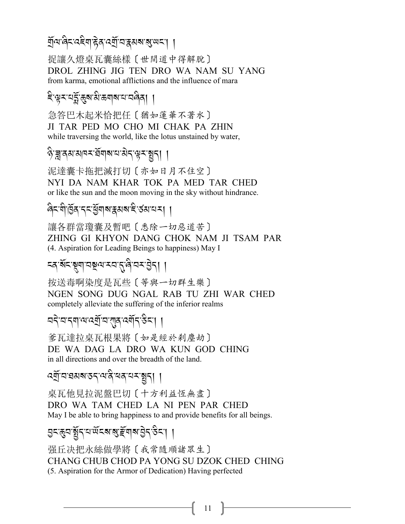#### *প্ৰ্*য'ৰ্ট্ৰ'ট্ৰ'ৰ্ট্ৰ'ৰ'ৰ্পৰাৰ্'ৰ্জ্ঞৰ'| | .<br>.

捉讓久燈桌瓦囊絲樣〔世間道中得解脫〕 DROL ZHING JIG TEN DRO WA NAM SU YANG from karma, emotional afflictions and the influence of mara

#### ই<sup>.</sup>ঞুমন্দ্ৰি:স্তুৰামীকশামানি বিৰুদ্ A

急答巴木起米恰把任〔猶如蓮華不著水〕 JI TAR PED MO CHO MI CHAK PA ZHIN while traversing the world, like the lotus unstained by water,

#### ক্ট'খ্ৰীপ্ৰস্ৰাপ্ৰস্<sup>ঞ্</sup>য প্ৰস্ৰাপ্ৰস্<sup>2</sup> | A

泥達囊卡拖把滅打切〔亦如日月不住空〕 NYI DA NAM KHAR TOK PA MED TAR CHED or like the sun and the moon moving in the sky without hindrance.

## ৰিমশীৰ্ষ্টিৰ ব্যৰ্<sup>ণু</sup>ৰাৰ স্বৰুপৰী ৰাজ্যৰ স্বৰ্ণ ।

讓各群當瓊囊及暫吧〔悉除一切惡道苦〕 ZHING GI KHYON DANG CHOK NAM JI TSAM PAR (4. Aspiration for Leading Beings to happiness) May I

# *%/-?*R*%-*#*\$-2}=-<2-*.*-8* A*-2<-L* J*.*,,

按送毒啊染度是瓦些〔等與一切群生樂〕 NGEN SONG DUG NGAL RAB TU ZHI WAR CHED completely alleviate the suffering of the inferior realms

## ব্বই বাৰা অন্তৰ্গু বাৰ্মু বৰ্মী বাৰ্ষী বাৰি স্বাৰা প্ৰায়িক বি

爹瓦達拉桌瓦根果將〔如是經於剎塵劫〕 DE WA DAG LA DRO WA KUN GOD CHING in all directions and over the breadth of the land.

# *-*<br>পর্শ্রান্নয়মন্তন্দ্রন্দর্শন্দ্রন্দ্রন্দ ।

桌瓦他見拉泥盤巴切〔十方利益恆無盡〕 DRO WA TAM CHED LA NI PEN PAR CHED May I be able to bring happiness to and provide benefits for all beings.

#### *L% -*(*2-*,R*.-0-;*R*%?-*?*-m*R*\$?-L* J*.-& %-*,, .<br>.<br>.

强丘决把永絲做學將〔我常隨順諸眾生〕 CHANG CHUB CHOD PA YONG SU DZOK CHED CHING (5. Aspiration for the Armor of Dedication) Having perfected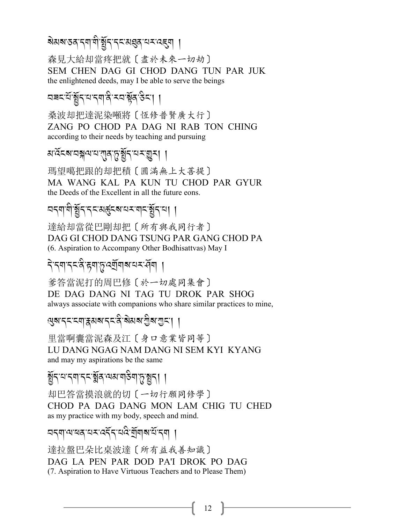# য়য়য়ৼঽঀৼঀৗড়ৢৗৼয়ৼৼ৻৸ঀঀৼ৻৻ৼ৻ৼ৻৸

森見大給却當疼把就〔盡於未來一切劫〕 SEM CHEN DAG GI CHOD DANG TUN PAR JUK the enlightened deeds, may I be able to serve the beings

### यबदक्षिंद्रपद्मवदिक्यक्षेत्8दा ।

桑波却把達泥染噸將〔恆修普賢廣大行〕 ZANG PO CHOD PA DAG NI RAB TON CHING according to their needs by teaching and pursuing

*য়<sup>৻</sup>ঽৼয়*ৼঽৠ৵ৼৼয়ৣঀ৻ঽড়ৣ৾ৼ৻ৼ৸ৼড়ৢৼ৻ৗ

瑪望噶把跟的却把積〔圓滿無上大菩提〕 MA WANG KAL PA KUN TU CHOD PAR GYUR the Deeds of the Excellent in all the future eons.

# ଘন্মাণী স্থীন নেমেৰ্দ্ভুব্ৰাম্বৰ মানামীন যা

達給却當從巴剛却把〔所有與我同行者〕 DAG GI CHOD DANG TSUNG PAR GANG CHOD PA (6. Aspiration to Accompany Other Bodhisattyas) May I

### <u> दे दयाददञ्चित्रयाञ्चरवा</u>षायदञ्जया ।

爹答當泥打的周巴修〔於一切處同集會〕 DE DAG DANG NI TAG TU DROK PAR SHOG always associate with companions who share similar practices to mine,

৻য়৸ৼ৸ৼৼয়ৗৼঀয়৸ৼ৻ৼ৻৸৸৸৸৸৸ৼ৻ড়৸ৼঢ়৻৸

里當啊囊當泥森及江〔身口意業皆同等〕 LU DANG NGAG NAM DANG NI SEM KYI KYANG and may my aspirations be the same

ৰ্ষ্ণবাৰ্ণবৰ্ত্মৰূপেমান্তিনাত্বপ্ৰবা ।

却巴答當摸浪就的切〔一切行願同修學〕 CHOD PA DAG DANG MON LAM CHIG TU CHED as my practice with my body, speech and mind.

#### নব্যান্মৰসমূহ নিয়ে বুলি ন্যান্দ্ৰ

達拉盤巴朵比桌波達〔所有益我善知識〕 DAG LA PEN PAR DOD PA'I DROK PO DAG (7. Aspiration to Have Virtuous Teachers and to Please Them)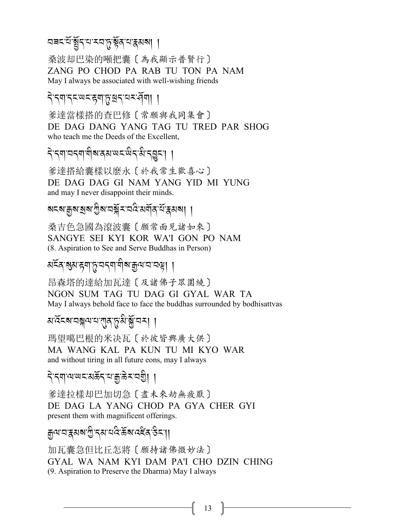# *¤* বৰমৰ্থিমুঁম্বৰ মন্ত্ৰীয় প্ৰস্থা বিষয়া

桑波却巴染的噸把囊〔為我顯示普賢行〕 ZANG PO CHOD PA RAB TU TON PA NAM May I always be associated with well-wishing friends

## ने नयान्त्य्ल्यदास्य अस्य स्वया

爹達當樣搭的查巴修〔常願與我同集會〕 DE DAG DANG YANG TAG TU TRED PAR SHOG who teach me the Deeds of the Excellent,

ने न्याचनयां योव्यवस्य पदक्षेत्रं अन्ञुत्रः । ।

爹達搭給囊樣以麼永〔於我常生歡喜心〕 DE DAG DAG GI NAM YANG YID MI YUNG and may I never disappoint their minds.

ৰ্শবাস্থ্ৰ স্মান্ত্ৰী সম্পৰ্কী সম্পৰ্কী সম্পৰ্কী সম্পৰ্কী সম্পৰ্কী সম্পৰ্কী সম্পৰ্কী সম্পৰ্কী সম্পৰ্কী সম্পৰ্ক<br>বিদ্যালয় সম্পৰ্কী সম্পৰ্কী সম্পৰ্কী সম্পৰ্কী সম্পৰ্কী সম্পৰ্কী সম্পৰ্কী সম্পৰ্কী সম্পৰ্কী সম্পৰ্কী সম্পৰ্কী স

桑吉色急國為滾波囊〔願常面見諸如來〕 SANGYE SEI KYI KOR WA'I GON PO NAM (8. Aspiration to See and Serve Buddhas in Person)

## মহুখ*প্ৰ*িপ্ৰাপ্তি, প্ৰৱ্যায় গ্ৰন্থ, প্ৰাপ্ত স্থিতি প্ৰাপ্ত স্থিতি প্ৰাপ্ত স্থিতি প্ৰাপ্ত স্থিতি প্ৰাপ্ত স্থিত<br>মহা

昂森塔的達給加瓦達〔及諸佛子眾圍繞〕 NGON SUM TAG TU DAG GI GYAL WAR TA May I always behold face to face the buddhas surrounded by bodhisattvas

*3-:*R*%?-2{ =-0-*!*/-*+*-3* A*-*\*R*-2<*,,

瑪望噶巴根的米决瓦〔於彼皆興廣大供〕 MA WANG KAL PA KUN TU MI KYO WAR and without tiring in all future eons, may I always

## ব্ৰিম্বান্ম আৰু বিদ্যালী বিদ্যালয় বিদ্যালয় বিদ্যালয় বিদ্যালয় বিদ্যালয় বিদ্যালয় বিদ্যালয় বিদ্যালয় বিদ্য<br>বিদ্যালয় বিদ্যালয় বিদ্যালয় বিদ্যালয় বিদ্যালয় বিদ্যালয় বিদ্যালয় বিদ্যালয় বিদ্যালয় বিদ্যালয় বিদ্যালয়

爹達拉樣却巴加切急〔盡未來劫無疲厭〕 DE DAG LA YANG CHOD PA GYA CHER GYI present them with magnificent offerings.

#### ক্সিন্সেপ্ৰায়ন্ত্ৰী কৰি বিভিন্ন প্ৰয়াগ কৰি প্ৰয়াগ কৰি বিভিন্ন প্ৰয়াগ কৰি বিভিন্ন প্ৰয়াগ কৰি বিভিন্ন প্ৰয়া<br>কৰি প্ৰয়াগ কৰি বিভিন্ন প্ৰয়াগ কৰি বিভিন্ন প্ৰয়াগ কৰি বিভিন্ন প্ৰয়াগ কৰি বিভিন্ন প্ৰয়াগ কৰি বিভিন্ন প্ৰয় .<br>.<br>.

加瓦囊急但比丘怎將〔願持諸佛微妙法〕 GYAL WA NAM KYI DAM PA'I CHO DZIN CHING (9. Aspiration to Preserve the Dharma) May I always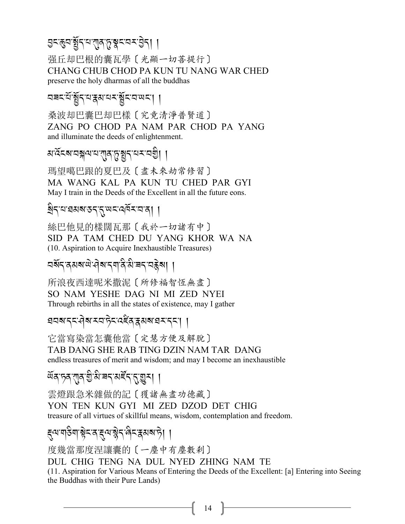# अन्छनञ्जून वालुकुञ्चन वन्देना ।

强丘却巴根的囊瓦學〔光顯一切菩提行〕 CHANG CHUB CHOD PA KUN TU NANG WAR CHED preserve the holy dharmas of all the buddhas

ঘৰনউৰ্শ্বন্মস্কমব্দৰ্শ্বনাম্বন্দা ।

桑波却巴囊巴却巴樣〔究竟清淨普賢道〕 ZANG PO CHOD PA NAM PAR CHOD PA YANG and illuminate the deeds of enlightenment.

*য়<sup>੶</sup>*ঽৼ৶য়ৠ৸য়য়ৗৢঀ৾৴য়য়৸৸ৼৢৼঢ়ঢ়ৗ

瑪望噶巴跟的夏巴及〔盡未來劫常修習〕 MA WANG KAL PA KUN TU CHED PAR GYI May I train in the Deeds of the Excellent in all the future eons.

ষ্ট্ৰন্'য'ৱমৰ'ডন্'ন্'ঋন'ন্'ৰ্মিন'নৰ। ।

絲巴他見的樣闊瓦那〔我於一切諸有中〕 SID PA TAM CHED DU YANG KHOR WA NA (10. Aspiration to Acquire Inexhaustible Treasures)

所浪夜西達呢米撒泥 [所修福智恆無盡] SO NAM YESHE DAG NI MI ZED NYEI Through rebirths in all the states of existence, may I gather

बनबाददावेबारवाद्रेदादहेवाद्रसबाघराद्रा ।

它當寫染當怎囊他當〔定慧方便及解脫〕 TAB DANG SHE RAB TING DZIN NAM TAR DANG endless treasures of merit and wisdom; and may I become an inexhaustible

ঐব চৰ বাৰ গুষি ৰব মৰ্ব বৰুমা ।

雲燈跟急米雜做的記〔獲諸無盡功德藏〕 YON TEN KUN GYI MI ZED DZOD DET CHIG treasure of all virtues of skillful means, wisdom, contemplation and freedom.

ड़ॣॺॱॺऻड़ऀॺॱऄॗॸॱॺॱड़ॺॱऄॗॸॱऀॺॸॱड़ॺॺॱॸॆॖॎऻ

度幾當那度涅讓囊的〔一塵中有塵數刹〕 DUL CHIG TENG NA DUL NYED ZHING NAM TE (11. Aspiration for Various Means of Entering the Deeds of the Excellent: [a] Entering into Seeing the Buddhas with their Pure Lands)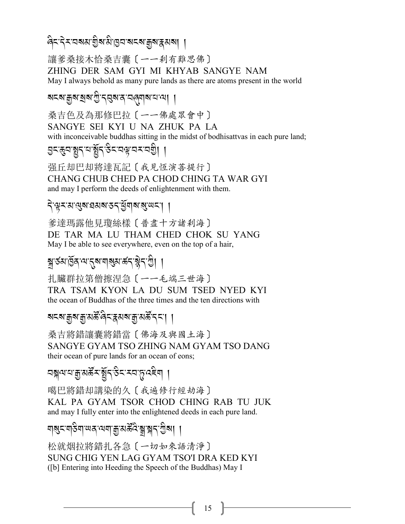สิระวิระวสมาฏิสามิการราช สุสารุสมา

讓爹桑接木恰桑吉囊〔一一刹有難思佛〕 ZHING DER SAM GYI MI KHYAB SANGYE NAM May I always behold as many pure lands as there are atoms present in the world

মহম'ক্কুম'ষ্ঠাম'স্ত্রী'ন্ম্ভম'ন'ন্মাতি বিদ্যা

桑吉色及為那修巴拉〔一一佛處眾會中〕 SANGYE SEI KYI U NA ZHUK PA LA with inconceivable buddhas sitting in the midst of bodhisattvas in each pure land;

त्रुदञ्जुद्दाबुद्धिर् उदय्वयद्या ।

强丘却巴却將達瓦記〔我見恆演善提行〕 CHANG CHUB CHED PA CHOD CHING TA WAR GYI and may I perform the deeds of enlightenment with them.

#### देखू रामा सुबाद्य बार राष्ट्रीय बाला सा

爹達瑪露他見瓊絲樣 [ 普盡十方諸刹海] DE TAR MA LU THAM CHED CHOK SU YANG May I be able to see everywhere, even on the top of a hair,

## ন্ধ'ৰ্তমাৰ্ট্ৰ'ন্ম'ন্ম'নাৰ্ম্ম'ৰ্ক্ন'ষ্ট্ৰী ।

扎臟群拉第僧擦涅急〔一一毛端三世海〕 TRA TSAM KYON LA DU SUM TSED NYED KYI the ocean of Buddhas of the three times and the ten directions with

### য়ৼ৶য়য়য়৾য়৻ড়ৣ৽ঀৼৣৼ৸ৼ৸ড়৾ৼঢ়ৼ৻

桑吉將錯讓囊將錯當〔佛海及與國土海〕 SANGYE GYAM TSO ZHING NAM GYAM TSO DANG their ocean of pure lands for an ocean of eons;

বন্ধুনরে খিত্রুপুর্ব্ব্র্য্য প্রয়ার্থ ।

噶巴將錯却講染的久〔我遍修行經劫海〕 KAL PA GYAM TSOR CHOD CHING RAB TU JUK and may I fully enter into the enlightened deeds in each pure land.

য়য়ৼৼ৶ড়৸৸ৼ৻৸য়৸য়৽৸৸ৼ৸৸

松就烟拉將錯扎各急〔一切如來語清淨〕 SUNG CHIG YEN LAG GYAM TSO'I DRA KED KYI ([b] Entering into Heeding the Speech of the Buddhas) May I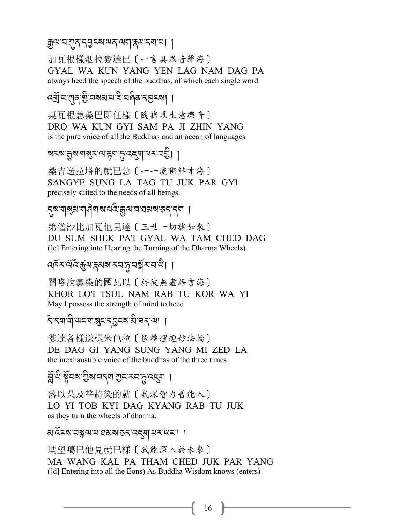ক্সপ'ম'শ্মুৰ'ন্ম্ভুনৰা'অৰ'ম্মা'ৰ্ম'ন্মা'ৰা ।

加瓦根樣烟拉囊達巴〔一言具眾音聲海〕 GYAL WA KUN YANG YEN LAG NAM DAG PA always heed the speech of the buddhas, of which each single word

ৰ্মান শ্ৰম গুৰেমন হিৰিপ প্ৰদেশ।

桌瓦根急桑巴即任樣〔隨諸眾生意樂音〕 DRO WA KUN GYI SAM PA JI ZHIN YANG is the pure voice of all the Buddhas and an ocean of languages

ষহম'ক্কুম'ন্ম্সুহ'ন্ম'দ্দুন্ম্'ন্হেন্ম'য্ম'যন্ত্ৰী ।

桑吉送拉塔的就巴急〔一一流佛辯才海〕 SANGYE SUNG LA TAG TU JUK PAR GYI precisely suited to the needs of all beings.

নুষ'নাৰ্থ্য'না নীৰাৰ বেং <sup>ক্ৰ</sup>মে ব্ৰেপৰ প্ৰব্ৰত্ত প্ৰদা

第僧沙比加瓦他見達〔三世一切諸如來〕 DU SUM SHEK PA'I GYAL WA TAM CHED DAG ([c] Entering into Hearing the Turning of the Dharma Wheels)

ৰ্শিম শ্ৰম্ভিৰ্জুন্মস্কুমমামন্দ্ৰ মুমানাজী।

闊咯次囊染的國瓦以〔於彼無盡語言海〕 KHOR LO'I TSUL NAM RAB TU KOR WA YI May I possess the strength of mind to heed

दे दयायी अदया अदन्तुद्र अक्षे बदाया

爹達各樣送樣米色拉〔恆轉理趣妙法輪〕 DE DAG GI YANG SUNG YANG MI ZED LA the inexhaustible voice of the buddhas of the three times

ষ্ট্ৰঞ্জিবৰ শ্ৰীৰ বৰ্ণ শ্ৰম সম্পৰ্কে ।

落以朵及答將染的就〔我深智力普能入〕 LO YI TOB KYI DAG KYANG RAB TU JUK as they turn the wheels of dharma.

สรัสสามสุขามารสาธราครูปามาเพรา

瑪望噶巴他見就巴樣〔我能深入於未來〕 MA WANG KAL PA THAM CHED JUK PAR YANG ([d] Entering into all the Eons) As Buddha Wisdom knows (enters)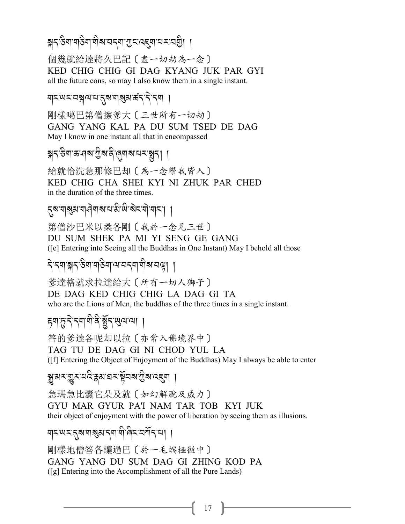# ब्रेट् स्वां बाटेबा बोबायदवा गुटादहुवायरायशे। ।

個幾就給達將久巴記〔盡一切劫為一念〕 KED CHIG CHIG GI DAG KYANG JUK PAR GYI all the future eons, so may I also know them in a single instant.

#### ॺड़ख़ड़ख़ङ्गलद्रश्याबुबल्करहेन्द

剛樣噶巴第僧擦爹大〔三世所有一切劫〕 GANG YANG KAL PA DU SUM TSED DE DAG May I know in one instant all that in encompassed

ৠ৲ঔণাভ্ৰাৰখণ্ডীৰাৰ ৰেণৰামানমন্ত্ৰণ। ।

給就恰洗急那修巴却〔為一念際我皆入〕 KED CHIG CHA SHEI KYI NI ZHUK PAR CHED in the duration of the three times.

## *ন্*ৰ'নাৰ্থম'নাৰীনাৰ'ন'মীজ'ৰীহ'নী'নাহ'। ।

第僧沙巴米以桑各剛〔我於一念見三世〕 DU SUM SHEK PA MI YI SENG GE GANG ([e] Entering into Seeing all the Buddhas in One Instant) May I behold all those

#### दे दगञ्जदञ्जागञ्जेषायाञ्चणग्रीरुप्यक्षा ।

爹達格就求拉達給大〔所有一切人獅子〕 DE DAG KED CHIG CHIG LA DAG GI TA who are the Lions of Men, the buddhas of the three times in a single instant.

### ह्यानुदेदयाबैर्देङ्गरुखयया ।

答的爹達各呢却以拉〔亦常入佛境界中〕 TAG TU DE DAG GI NI CHOD YUL LA (If) Entering the Object of Enjoyment of the Buddhas) May I always be able to enter

## ৠ৸ৼয়ৢৼৼঽ৻ৼঀ৸য়৸ৼ৻য়৾ৼ৸৻য়ৢ৸৻ৼ৾৶৾

急瑪急比囊它朵及就〔如幻解脫及威力〕 GYU MAR GYUR PA'I NAM TAR TOB KYI JUK their object of enjoyment with the power of liberation by seeing them as illusions.

# यद्रपद्तुबायञ्जयदयायो बिदावर्गेदाया ।

剛樣地僧答各讓過巴〔於一毛端極微中〕 GANG YANG DU SUM DAG GI ZHING KOD PA ([g] Entering into the Accomplishment of all the Pure Lands)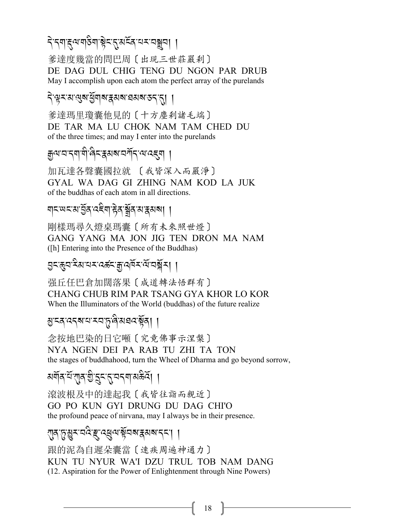# <u>देन्त्रगङ्गराज्ञुक्षेत्रद्वास्रद्यसम्बन्धा</u>

爹達度幾當的問巴周〔出現三世莊嚴刹〕 DE DAG DUL CHIG TENG DU NGON PAR DRUB May I accomplish upon each atom the perfect array of the purelands

#### देखूर अखुरु बुवार कुरारा बसरा उदा ।

爹達瑪里瓊囊他見的〔十方塵刹諸毛端〕 DE TAR MA LU CHOK NAM TAM CHED DU of the three times; and may I enter into the purelands

# ক্ৰুণ'ম'ন্ম'মী'ৰ্নি'ক্কমৰ'মৰ্শীন'ম'ৰ্হেমা ।

加瓦達各聲囊國拉就 〔我皆深入而嚴淨〕 GYAL WA DAG GI ZHING NAM KOD LA JUK of the buddhas of each atom in all directions.

#### য়ঢ়ড়য়য়ড়ৢঽৼ৻ৼয়ড়ড়য়ড়য়ড়য়ঢ়

剛樣瑪尋久燈桌瑪囊〔所有未來照世燈〕 GANG YANG MA JON JIG TEN DRON MA NAM ([h] Entering into the Presence of the Buddhas)

#### এন্জ্বাম্মাবমার্জনর্লুবর্ষমান্ত্রীম। ।

强丘任巴倉加闊落果〔成道轉法悟群有〕 CHANG CHUB RIM PAR TSANG GYA KHOR LO KOR When the Illuminators of the World (buddhas) of the future realize

#### য়ৢৼঽৼঽয়ৼৼৼঀড়ড়৻ড়৸ৼ৻ড়৸

念按地巴染的日它噸〔究竟佛事示涅槃〕 NYA NGEN DEI PA RAB TU ZHI TA TON the stages of buddhahood, turn the Wheel of Dharma and go beyond sorrow,

# <u> মর্ম্ববার্শ্বার্মুহ্রবা</u>র্মবার্ম ।

滾波根及中的達起我〔我皆往詣而親近〕 GO PO KUN GYI DRUNG DU DAG CHI'O the profound peace of nirvana, may I always be in their presence.

### য়ৣ<u>ঀ৾৻ঽয়৾য়ৢৼ৾৻ৼড়৻ড়৻ড়ড়ড়ড়৻ড়৻ড়৻ড়৻ড়৻ড়৻ড়৻</u>

跟的泥為自遲朵囊當〔速疾周遍神通力〕 KUN TU NYUR WA'I DZU TRUL TOB NAM DANG (12. Aspiration for the Power of Enlightenment through Nine Powers)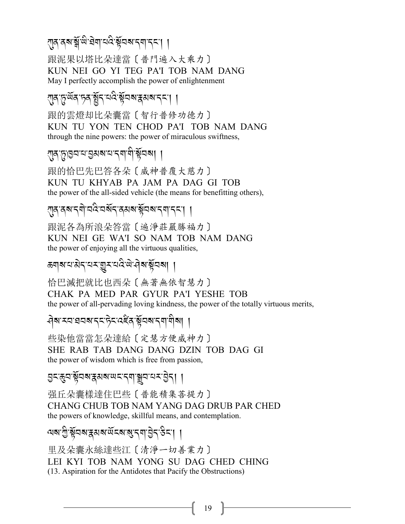71<u>9 পৰি স্পূ</u>ৰ্ণ সম্ভিতি সম্পৰ্কৰ সম্ভিতি সম্পৰ্কৰ সম্ভিতি সম্ভিতি সম্ভিতি সম্ভিতি সম্ভিতি সম্ভিতি সম্ভিতি সম্<br>প্ৰাৰম্ভিতি

跟泥果以塔比朵達當〔普門遍入大乘力〕 KUN NEI GO YI TEG PA'I TOB NAM DANG May I perfectly accomplish the power of enlightenment

 $\eta$ ন্দু<sup>:ম্বে</sup>ন্সন:ম্ব্ৰীন্সমক্লমৰ্মননা ।

跟的雲燈却比朵囊當〔智行普修功德力〕 KUN TU YON TEN CHOD PA'I TOB NAM DANG through the nine powers: the power of miraculous swiftness,

!*/-*+*-H2-0-L3?-0-.\$- \$* A*-*!R*2?*,,

跟的恰巴先巴答各朵〔威神普覆大慈力〕 KUN TU KHYAB PA JAM PA DAG GI TOB the power of the all-sided vehicle (the means for benefitting others),

*ম্*বিশেদ্যান্ত্ৰ সম্ভিতি স্পৰ্ট স্পৰ্ট স্পৰ্ট স্পৰ্ট স্পৰ্ট স্পৰ্ট স্পৰ্ট স্পৰ্ট স্পৰ্ট স্পৰ্ট স্পৰ্ট স্পৰ্ট স<br>স্পৰ্ট স্পৰ্ট স্পৰ্ট স্পৰ্ট স্পৰ্ট স্পৰ্ট স্পৰ্ট স্পৰ্ট স্পৰ্ট স্পৰ্ট স্পৰ্ট স্পৰ্ট স্পৰ্ট স্পৰ্ট স্পৰ্ট স্পৰ

跟泥各為所浪朵答當〔遍淨莊嚴勝福力〕 KUN NEI GE WA'I SO NAM TOB NAM DANG the power of enjoying all the virtuous qualities,

*a*ন|ৰাম্ৰাৰীৰ প্ৰস্কৃত পৰি স্পৰ্কী

恰巴滅把就比也西朵〔無著無依智慧力〕 CHAK PA MED PAR GYUR PA'I YESHE TOB the power of all-pervading loving kindness, the power of the totally virtuous merits,

*Aৃষ*্নস্ৰসৰ বিষ্টুৰ স্থাৰ স্থাপীৰা । And the contract of the contract of the contract of the contract of the contract of the contract of the contract of the contract of the contract of the contract of the contract of the contract of the contract of the contra

些染他當當怎朵達給〔定慧方便威神力〕 SHE RAB TAB DANG DANG DZIN TOB DAG GI the power of wisdom which is free from passion,

৪২:ধ্যাষ্ট্ৰসম্বৰমৰ অৱভিত্তিত প্ৰাৰ্থ - <u>বি</u> J

强丘朵囊樣達住巴些〔普能積集菩提力〕 CHANG CHUB TOB NAM YANG DAG DRUB PAR CHED the powers of knowledge, skillful means, and contemplation.

মৰ্ম শ্ৰীষ্ট্ৰবৰ্ম স্কুৰ্মৰ অঁহৰ স্বীপ্ৰান্ত ব্ৰিহ্ম |<br>মৰা

里及朵囊永絲達些江〔清淨一切善業力〕 LEI KYI TOB NAM YONG SU DAG CHED CHING (13. Aspiration for the Antidotes that Pacify the Obstructions)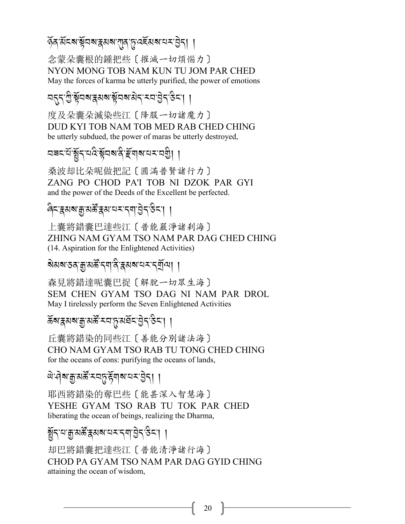*\**R*/-3*R*%?-*!R*2?-i3?-*!*/-*+*-:)*R*3?-0 <-L* J*.*,,

念蒙朵囊根的鍾把些〔摧滅一切煩惱力〕 NYON MONG TOB NAM KUN TU JOM PAR CHED May the forces of karma be utterly purified, the power of emotions

ব5ৃন্, ফ্ৰীষ্ট্ৰব্স ৰাজ্যৰ স্পৰ্ট স্পৰ্ট স্পৰ্ট স্পৰ্ট স্পৰ্ট স্পৰ্ট স্পৰ্ট স্পৰ্ট স্পৰ্ট স্পৰ্ট স্পৰ্ট স্পৰ্ট<br>বিশিষ্ট স্পৰ্ট স্পৰ্ট স্পৰ্ট স্পৰ্ট স্পৰ্ট স্পৰ্ট স্পৰ্ট স্পৰ্ট স্পৰ্ট স্পৰ্ট স্পৰ্ট স্পৰ্ট স্পৰ্ট স্পৰ্ট স্পৰ

度及朵囊朵滅染些江〔降服一切諸魔力〕 DUD KYI TOB NAM TOB MED RAB CHED CHING be utterly subdued, the power of maras be utterly destroyed,

*29% -0*R*-*,R*.-0 :* A*-*!R*2?-/* A*- m*R*\$?-0 <-2I*A,,

桑波却比朵呢做把記〔圓滿普賢諸行力〕 ZANG PO CHOD PA'I TOB NI DZOK PAR GYI and the power of the Deeds of the Excellent be perfected.

न्दिर अर्थ कुर्य्यक्ष्र्रें क्ष्य यस्पत्र्या हेन्<sup>3</sup>न्भ ।

上囊將錯囊巴達些江〔普能嚴淨諸剎海〕 ZHING NAM GYAM TSO NAM PAR DAG CHED CHING (14. Aspiration for the Enlightened Activities)

## ৰ্ষমৰ্শন্তৰ মুক্তি স্বিপ্ৰাৰ্শ সম্পৰ্কী সম্পৰ্ক স্বাৰ্শ কৰি স্বাৰ্শ সম্পৰ্ক স্বাৰ্শ সম্পৰ্ক স্বাৰ্শ স্বাৰ্শ সম্<br>ৰাজ্য

森見將錯達呢囊巴捉〔解脫一切眾生海〕 SEM CHEN GYAM TSO DAG NI NAM PAR DROL May I tirelessly perform the Seven Enlightened Activities

र्द्ध्र्य्रश्रू-अर्क्षे: रव्*्रश्रेद्र्व्*ट्र्य्ड्र्ट्र्र्ट्र्ट्र्ट्र्य् .<br>.<br>.

丘囊將錯染的同些江〔善能分別諸法海〕 CHO NAM GYAM TSO RAB TU TONG CHED CHING for the oceans of eons: purifying the oceans of lands,

## ঐ<sup>.</sup>ব়ৰ'ক্স্ক্ৰীসক্ৰীসকলক বিভিন্ন প্ৰকল্প কৰি স্থাপন কৰি স্থাপন কৰি স্থাপন কৰি স্থাপন কৰি স্থাপন কৰি স্থাপন কৰি স্থাপন<br>প্ৰকল্প কৰি স্থাপন কৰি স্থাপন কৰি স্থাপন কৰি স্থাপন কৰি স্থাপন কৰি স্থাপন কৰি স্থাপন কৰি স্থাপন কৰি স্

耶西將錯染的奪巴些〔能甚深入智慧海〕 YESHE GYAM TSO RAB TU TOK PAR CHED liberating the ocean of beings, realizing the Dharma,

# ৰ্ষ্টুৰ্'ম'ক্ৰু'মৰ্ক্ট'ৰ্ছৰ্'মৰ্'ম'ৰ্'ম'ট্ৰ'ৰ্' বিমাণ <mark>(</mark>

却巴將錯囊把達些江〔普能清淨諸行海〕 CHOD PA GYAM TSO NAM PAR DAG GYID CHING attaining the ocean of wisdom,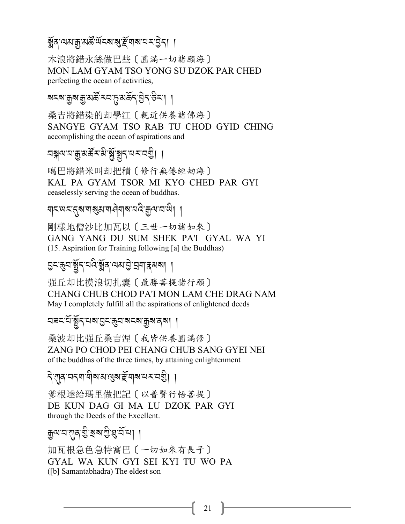# ৰ্ষ্ণৰ অমন্ত্ৰীয় <u>প্ৰা</u>ন্ন প্ৰাপ্ত কৰি প্ৰাপ্ত কৰি পৰি স্থিতি পৰি স্থাপন কৰি পৰি স্থাপন কৰি প্ৰাপ্ত কৰি প্ৰাপ্ত<br>স্থাপন কৰি স্থাপন কৰি স্থাপন কৰি স্থাপন কৰি স্থাপন কৰি স্থাপন কৰি স্থাপন কৰি স্থাপন কৰি স্থাপন কৰি স্থাপন কৰ

木浪將錯永絲做巴些〔圓滿一切諸願海〕 MON LAM GYAM TSO YONG SU DZOK PAR CHED perfecting the ocean of activities,

ৰ্ঘৰা দুৰু প্ৰতিষ্ঠাৰ পৰি বিষয়া প্ৰতিষ্ঠাৰ পৰি বিষয়া প্ৰতিষ্ঠাৰ পৰি বিষয়া প্ৰতিষ্ঠাৰ পৰি বিষয়া প<br>ৰাজ্য প্ৰতিষ্ঠাৰ পৰি বিষয়া প্ৰতিষ্ঠাৰ পৰি বিষয়া প্ৰতিষ্ঠাৰ পৰি বিষয়া প্ৰতিষ্ঠাৰ পৰি বিষয়া প্ৰতিষ্ঠাৰ পৰি বি

桑吉將錯染的却學江〔親近供養諸佛海〕 SANGYE GYAM TSO RAB TU CHOD GYID CHING accomplishing the ocean of aspirations and

বৰ্শ্বন্দ্ৰ*প্ৰস্থাৰ*্থী, ইন্<sup>.</sup> - বিৰ্থা বিৰ্থিত বিৰ্থিত প্ৰতিষ্ঠা

噶巴將錯米叫却把積〔修行無倦經劫海〕 KAL PA GYAM TSOR MI KYO CHED PAR GYI ceaselessly serving the ocean of buddhas.

ম্**< অব্দ**্তা সম্প্ৰাৰ বিমান বিদ্যালয় বিদ্যালয় বিদ্যালয় কৰি স্থা

剛樣地僧沙比加瓦以〔三世一切諸如來〕 GANG YANG DU SUM SHEK PA'I GYAL WA YI (15. Aspiration for Training following [a] the Buddhas)

৪<জ্ঞার্স্থী - ব্রাপ্ত স্থা প্রিপ্রার্থ ।

强丘却比摸浪切扎囊〔最勝菩提諸行願〕 CHANG CHUB CHOD PA'I MON LAM CHE DRAG NAM May I completely fulfill all the aspirations of enlightened deeds

*মষম* যুঁমুন্বৰ স্তুন স্বৰ স্থা প্ৰাণী ।

桑波却比强丘桑吉涅〔我皆供養圓滿修〕 ZANG PO CHOD PEI CHANG CHUB SANG GYEI NEI of the buddhas of the three times, by attaining enlightenment

ব্<sup>2</sup>্মীৰ্ প্ৰদান্ত্ৰ প্ৰাপ্ত ব্ৰহ্ম বিশ্ৰম প্ৰকাশ বিশিষ্ট কৰি স্থাপন প্ৰকাশ বিশিষ্ট কৰি স্থাপন প্ৰকাশ বিশিষ্ট<br>বিশিষ্ট কৰি স্থাপন প্ৰকাশ বিশিষ্ট কৰি স্থাপন প্ৰকাশ বিশিষ্ট কৰি স্থাপন প্ৰকাশ বিশিষ্ট কৰি স্থাপন প্ৰকাশ বিশিষ

爹根達給瑪里做把記〔以普賢行悟菩提〕 DE KUN DAG GI MA LU DZOK PAR GYI through the Deeds of the Excellent.

*ৰ্*দ্ৰব্যাৱ প্ৰাপ্ত প্ৰদ্ৰব্য কৰি

加瓦根急色急特窩巴〔一切如來有長子〕 GYAL WA KUN GYI SEI KYI TU WO PA ([b] Samantabhadra) The eldest son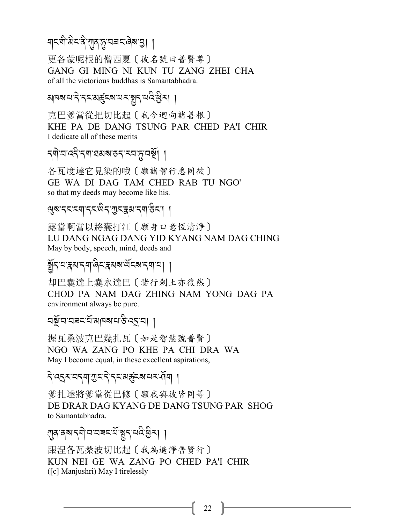# শব্দীষ্টবিপ্ৰমুদ্বৰবৰিমন্তা ।

更各蒙呢根的僧西夏〔彼名號曰普賢尊〕 GANG GI MING NI KUN TU ZANG ZHEI CHA of all the victorious buddhas is Samantabhadra.

## अवबायादे द्रायहरूद्रबायमञ्जूदायदेख्या ।

克巴爹當從把切比起〔我今迴向諸善根〕 KHE PA DE DANG TSUNG PAR CHED PA'I CHIR I dedicate all of these merits

# *ন্*ণাযদেরীর্শারমৰাত্রামযান্ত্রিয়া ।

各瓦度達它見染的哦〔願諸智行悉同彼〕 GE WA DI DAG TAM CHED RAB TU NGO' so that my deeds may become like his.

## ख़ॺॱॸड़ड़ॺॎॱॸड़ख़ऀॸॱॻड़ॾॺॱॸॺॱ<sup>ॶ</sup>ड़ऻॱ<u>ॶ</u>

露當啊當以將囊打江〔願身口意恆清淨〕 LU DANG NGAG DANG YID KYANG NAM DAG CHING May by body, speech, mind, deeds and

#### हुँद्द्यञ्जयद्वालेदञ्जयब्ध्वद्ब्यद्वाया ।

却巴囊達上囊永達巴〔諸行刹土亦復然〕 CHOD PA NAM DAG ZHING NAM YONG DAG PA environment always be pure.

#### ঘয়ুঁঘে ঘৰমন্ত্ৰী পৰিস্থিতি প্ৰদান।

握瓦桑波克巴幾扎瓦〔如是智慧號普賢〕 NGO WA ZANG PO KHE PA CHI DRA WA May I become equal, in these excellent aspirations,

#### ঀ৾৻ঽঽৼয়ঀয়ৗৢৼ৾ঀৼৼয়ড়৾ৼ৶য়ৼ৻ঀ৾য়৾

爹扎達將爹當從巴修〔願我與彼皆同等〕 DE DRAR DAG KYANG DE DANG TSUNG PAR SHOG to Samantabhadra.

### राज वब दबोज जन्मद <u>संबु</u>द चविद्ये रा

跟涅各瓦桑波切比起〔我為遍淨普賢行〕 KUN NEI GE WA ZANG PO CHED PA'I CHIR ([c] Manjushri) May I tirelessly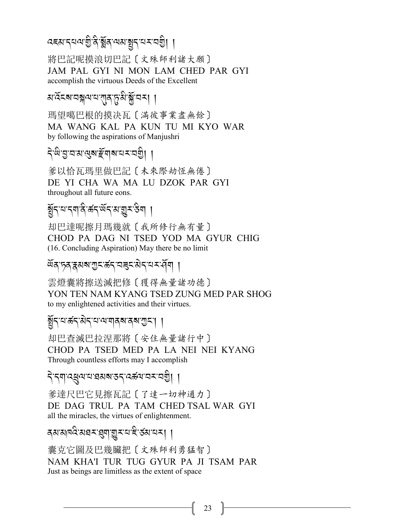# दह्य द्वय गुर्दे ब्रुव यय ब्रुद्ध्य द्वी।

將巴記呢摸浪切巴記〔文殊師利諸大願〕 JAM PAL GYI NI MON LAM CHED PAR GYI accomplish the virtuous Deeds of the Excellent

## अ<sup>.</sup>ঽॅदबावङ्गयायालुकुत्रीञ्जॅातम् ।

瑪望噶巴根的摸决瓦〔滿彼事業盡無餘〕 MA WANG KAL PA KUN TU MI KYO WAR by following the aspirations of Manjushri

# देखेखुवाससुराङ्गमा विदेशा

爹以恰瓦瑪里做巴記〔未來際劫恆無倦〕 DE YI CHA WA MA LU DZOK PAR GYI throughout all future eons.

# ৰ্ষুনম্বন্দৰ ক্ৰনৰ্উনম্ভূ্মউন্যা

却巴達呢擦月瑪幾就〔我所修行無有量〕 CHOD PA DAG NI TSED YOD MA GYUR CHIG (16. Concluding Aspiration) May there be no limit

#### ঐঁৰ চৰ ৰমৰ এন প্ৰয়োগ পৰি প্ৰয়োগ ।

雲燈囊將擦送滅把修〔獲得無量諸功德〕 YON TEN NAM KYANG TSED ZUNG MED PAR SHOG to my enlightened activities and their virtues.

#### ৰ্ষুন্মজন্মিন্মম্মান্মজৰ্মস্থা ।

却巴查滅巴拉涅那將〔安住無量諸行中〕 CHOD PA TSED MED PA LA NEI NEI KYANG Through countless efforts may I accomplish

#### देखाउन्नेजा ।

爹達尺巴它見擦瓦記〔了達一切神通力〕 DE DAG TRUL PA TAM CHED TSAL WAR GYI all the miracles, the virtues of enlightenment.

#### ৰম'মান্দ্ৰ'মহম' ব্ৰমাত্মমান্ত ৰেমানমা ।

囊克它圖及巴幾臟把〔文殊師利勇猛智〕 NAM KHA'I TUR TUG GYUR PA JI TSAM PAR Just as beings are limitless as the extent of space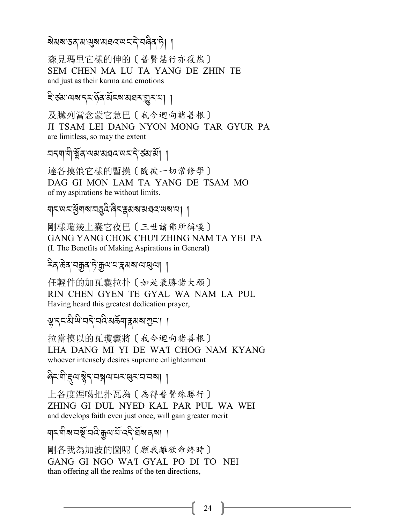#### য়য়য়ৼঽঽ<sup>৸</sup>য়ড়য়য়য়ঽ৻য়ড়ৼ৾ৼঢ়ড়ড়য়

森見瑪里它樣的伸的〔普賢慧行亦復然〕 SEM CHEN MA LU TA YANG DE ZHIN TE and just as their karma and emotions

#### ই'র্যাথম'ন্ন'র্ন'র্মনম'য়েম'মা ।

及臟列當念蒙它急巴〔我今迴向諸善根〕 JI TSAM LEI DANG NYON MONG TAR GYUR PA are limitless, so may the extent

<u> নন্</u>মাণীৰ্ষ্ণব্ৰম্মস্নৱন্দেন্দ্ৰ জন্মী ।

達各摸浪它樣的暫摸〔隨彼一切常修學〕 DAG GI MON LAM TA YANG DE TSAM MO of my aspirations be without limits.

য়ঢ়ড়ঢ়ৼৣ৾য়য়ৼড়৻ৼ৻ড়ৢ৻ৼ৻ড়৸ৼ৻ড়৸ৼ৻ড়৸ঢ়৸

剛樣瓊幾上囊它夜巴〔三世諸佛所稱嘆〕 GANG YANG CHOK CHU'I ZHING NAM TA YEI PA (I. The Benefits of Making Aspirations in General)

#### <sup>ঽ</sup>ৰ ঈৰ অক্কুৰ দিক্সুন্ম অসম অন্তৰ্য। ।

任輕件的加瓦囊拉扑〔如是最勝諸大願〕 RIN CHEN GYEN TE GYAL WA NAM LA PUL Having heard this greatest dedication prayer,

#### भू द्रदक्षे से वदे वर्दक्षय प्रथा प्रदा ।

拉當摸以的瓦瓊囊將〔我今迴向諸善根〕 LHA DANG MI YI DE WA'I CHOG NAM KYANG whoever intensely desires supreme enlightenment

#### दिन् बाह्याञ्जेन पञ्चयायमञ्जयायका ।

上各度涅噶把扑瓦為〔為得普賢殊勝行〕 ZHING GI DUL NYED KAL PAR PUL WA WEI and develops faith even just once, will gain greater merit

### ঘ্ৰৱাৰ মুখ্য নহা আৰু বিদ্যালয়।

剛各我為加波的圖呢 〔願我離欲命終時〕 GANG GI NGO WA'I GYAL PO DI TO NEI than offering all the realms of the ten directions,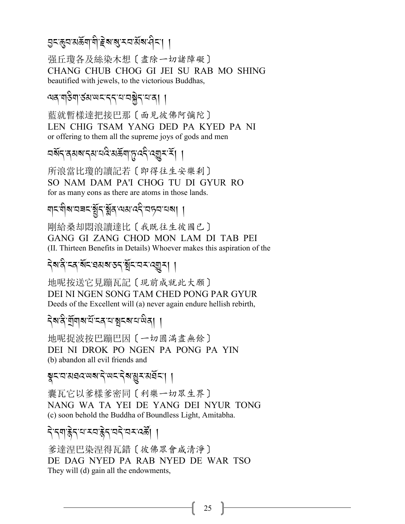## <mark>৪খঞ্জিত সম্ভ্ৰাণী, ছিপ্ৰাপ্ৰ সম্ভ্ৰাণী</mark> পৰিচালি বিদ্যালয় স্থিতি সম্ভিদী প্ৰতি

强丘瓊各及絲染木想〔盡除一切諸障礙〕 CHANG CHUB CHOG GI JEI SU RAB MO SHING beautified with jewels, to the victorious Buddhas,

# শৰ্'শন্তিশ'ৰ্ডম'<sup>অহ'ব্</sup>ব'শ'ৰষ্ট্ৰব'<sup>যা</sup>ৰ্| |

藍就暫樣達把接巴那〔面見彼佛阿彌陀〕 LEN CHIG TSAM YANG DED PA KYED PA NI or offering to them all the supreme joys of gods and men

#### বর্ষন ক্ষম নেম নেই মস্ক্রনার্দ্র বেশ্বী ব্যাপনি স্বাস্থ্য বি A

所浪當比瓊的讀記若〔即得往生安樂剎〕 SO NAM DAM PA'I CHOG TU DI GYUR RO for as many eons as there are atoms in those lands.

# ম্বন্দ্ৰীৰ বিদ্যালয় - <mark>(</mark>A-25-25-20) বাৰ্ণ স্থা

剛給桑却悶浪讀達比〔我既往生彼國已〕 GANG GI ZANG CHOD MON LAM DI TAB PEI (II. Thirteen Benefits in Details) Whoever makes this aspiration of the

# <mark>২৩.৪.২৬.১৯৯৯.২২.১৯৯৯.১৯</mark> /

地呢按送它見蹦瓦記〔現前成就此大願〕 DEI NI NGEN SONG TAM CHED PONG PAR GYUR Deeds of the Excellent will (a) never again endure hellish rebirth,

# ব্ৰুদ্ধ <u>প্ৰ</u> প্ৰাপ্ত যোৱাৰ স্থানী বিদ্যালয় স্থানী বিদ্যালয় স্থানী বিদ্যালয় স্থানী বিদ্যালয় স্থানী বিদ্যালয়<br>বিদ্যালয় স্থানী স্থানী বিদ্যালয় স্থানী বিদ্যালয় স্থানী বিদ্যালয় স্থানী বিদ্যালয় স্থানী বিদ্যালয় স্থানী

地呢捉波按巴蹦巴因〔一切圓滿盡無餘〕 DEI NI DROK PO NGEN PA PONG PA YIN (b) abandon all evil friends and

\$*%-2-3,:-;?-.* J*-;% -.* J*?-*M*<-3,*R*%-*,,

囊瓦它以爹樣爹密同〔利樂一切眾生界〕 NANG WA TA YEI DE YANG DEI NYUR TONG (c) soon behold the Buddha of Boundless Light, Amitabha.

## ने न्याङ्केर व्याङ्केर व्यादि स्वरुपदे स्थानि

爹達涅巴染涅得瓦錯〔彼佛眾會咸清淨〕 DE DAG NYED PA RAB NYED DE WAR TSO They will (d) gain all the endowments,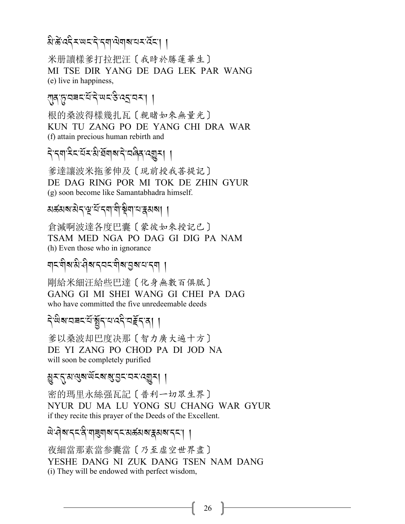#### त्री*-के* दर्दर अस्य अस्य अस्य स्वयं विद्यालय अस्य स्वयं स्वयं काल्ला अस्य स्वयं काल्ला अस्य स्वयं काल्ला अस्य स्वय J

米册讀樣爹打拉把汪〔我時於勝蓮華生〕 MI TSE DIR YANG DE DAG LEK PAR WANG (e) live in happiness,

## স্ত্ৰ্স - ইন্দ্ৰ - স্পৰ্ক - স্পৰ্ক - স্পৰ্ক - স্পৰ্ক - স্পৰ্ক - স্পৰ্ক - স্পৰ্ক - স্পৰ্ক - স্পৰ্ক - স্পৰ্ক - স<br>স্পৰ্ক - স্পৰ্ক - স্পৰ্ক - স্পৰ্ক - স্পৰ্ক - স্পৰ্ক - স্পৰ্ক - স্পৰ্ক - স্পৰ্ক - স্পৰ্ক - স্পৰ্ক - স্পৰ্ক - স্

根的桑波得樣幾扎瓦〔親睹如來無量光〕 KUN TU ZANG PO DE YANG CHI DRA WAR (f) attain precious human rebirth and

# ने,टेब्र,ट्र्ट्र्ट्र्य,पुरु,ट्र्युट्र्य, प्रित्युद्र्य, प्रित्युद्र्य, प्रित्युद्र्य, प्रित्युद्र्य, प्रित्युद्र्य,

爹達讓波米拖爹伸及〔現前授我菩提記〕 DE DAG RING POR MI TOK DE ZHIN GYUR (g) soon become like Samantabhadra himself.

#### মৰ্ক্সমাৰীৰ্দ্<sup>য কৰে</sup> বিভিন্ন কৰি পৰি প্ৰতি কৰি স্থায় কৰি স্থায় কৰি স্থায় কৰি স্থায় কৰি স্থায় কৰি স্থায় কৰ<br>মৰ্কি .<br>.<br>.

倉滅啊波達各度巴囊〔蒙彼如來授記已〕 TSAM MED NGA PO DAG GI DIG PA NAM (h) Even those who in ignorance

#### শ্ৰম্প্ৰীসম্বৰ্শৰ স্পৰা বিশ্বৰ স্পৰ্শ <mark>।</mark> A

剛給米細汪給些巴達〔化身無數百俱胝〕 GANG GI MI SHEI WANG GI CHEI PA DAG who have committed the five unredeemable deeds

#### ন্, <u>দ</u>ুৰ্গ্ৰহাৰ প্ৰাৰম্ভ পৰি প্ৰতিষ্ঠা পৰি স্থাপন কৰি স্থাপন কৰি স্থাপন কৰি স্থাপন কৰি স্থাপন কৰি স্থাপন কৰি স্<br>নামৰ স্থাপন কৰা স্থাপন কৰা স্থাপন কৰা স্থাপন কৰা স্থাপন কৰা স্থাপন কৰা স্থাপন কৰা স্থাপন কৰা স্থাপন কৰা স্থ A

爹以桑波却巴度决那〔智力廣大遍十方〕 DE YI ZANG PO CHOD PA DI JOD NA will soon be completely purified

#### M*<-*.*-3-*=*?-;*R*%?-*?*-L% - 2<-:*I*<*,,

密的瑪里永絲强瓦記〔普利一切眾生界〕 NYUR DU MA LU YONG SU CHANG WAR GYUR if they recite this prayer of the Deeds of the Excellent.

#### *এ:বিম*্পে:প্ৰাপ্ৰমাৰ্শ প্ৰস্পৰ্যৰ প্ৰস্থা বিদ্যা J

夜細當那素當参囊當〔乃至虛空世界盡〕 YESHE DANG NI ZUK DANG TSEN NAM DANG (i) They will be endowed with perfect wisdom,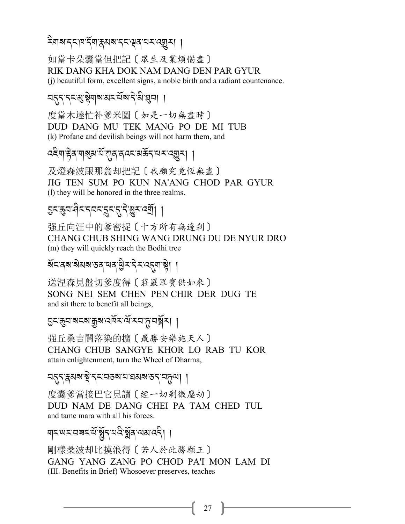### देवाबाददावद्गवाद्गुबाबाददायुवायदाव्युद्या ।

如當卡朵囊當但把記〔眾生及業煩惱盡〕 RIK DANG KHA DOK NAM DANG DEN PAR GYUR (i) beautiful form, excellent signs, a noble birth and a radiant countenance.

### নন্ন'ন্ন'মুষ্ণমামনয়মান'মখুনা ।

度當木達忙补爹米圖〔如是一切無盡時〕 DUD DANG MU TEK MANG PO DE MI TUB (k) Profane and devilish beings will not harm them, and

及燈森波跟那翁却把記〔我願究竟恆無盡〕 JIG TEN SUM PO KUN NA'ANG CHOD PAR GYUR (1) they will be honored in the three realms.

# <u> बरङ्क्य सेर रेयर रेर संबंद्धर उन्न। ।</u>

强丘向汪中的爹密捉〔十方所有無邊刹〕 CHANG CHUB SHING WANG DRUNG DU DE NYUR DRO (m) they will quickly reach the Bodhi tree

#### 

送涅森見盤切爹度得〔莊嚴眾寶供如來〕 SONG NEI SEM CHEN PEN CHIR DER DUG TE and sit there to benefit all beings,

#### এন্ঞ্নঅন্যান্নুৰান্দ্ৰন্থিমন্দ্ৰেয়ুন্ম ।

强丘桑吉闊落染的擴〔最勝安樂施天人〕 CHANG CHUB SANGYE KHOR LO RAB TU KOR attain enlightenment, turn the Wheel of Dharma,

#### ন্দ্ৰম্বৰাষ্ট্ৰন্নৰেত্তৰাৰাহ্মৰাত্তন্নিমূলা ।

度囊爹當接巴它見讀 [ 經一切剎微塵劫] DUD NAM DE DANG CHEI PA TAM CHED TUL and tame mara with all his forces.

### য়য়ড়য়য়য়ৼয়ৼয়ৼয়৻৸৸৸

剛樣桑波却比摸浪得〔若人於此勝願王〕 GANG YANG ZANG PO CHOD PA'I MON LAM DI (III. Benefits in Brief) Whosoever preserves, teaches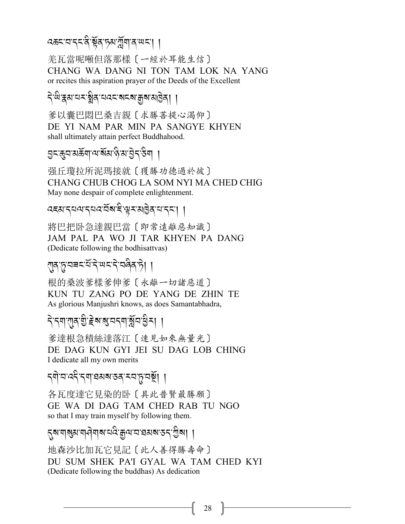# ৰক্কৰাৰ্বৰ শ্লীৰ চমাৰ্মুনাৰ অৰা ।

羌瓦當呢噸但落那樣 〔一經於耳能生信〕 CHANG WA DANG NI TON TAM LOK NA YANG or recites this aspiration prayer of the Deeds of the Excellent

#### <u>देखिञ्चयासङ्ग्रेवासदराज्ञरशङ्खा ।</u>

爹以囊巴悶巴桑吉親〔求勝菩提心渴仰〕 DE YI NAM PAR MIN PA SANGYE KHYEN shall ultimately attain perfect Buddhahood.

# এন্জুন'মৰ্ক্ৰশ'শ'ৰ্মম'ন্ব'ম'ট্ৰন'উশ ।

强丘瓊拉所泥瑪接就〔獲勝功德過於彼〕 CHANG CHUB CHOG LA SOM NYI MA CHED CHIG May none despair of complete enlightenment.

#### दहसादयवादयवाद्यसाहे सूरासंखेदायादया ।

將巴把卧急達親巴當〔即常遠離惡知識〕 JAM PAL PA WO JI TAR KHYEN PA DANG (Dedicate following the bodhisattvas)

#### रात् हयबद<sup>्</sup>धर्दे ਘद्दे वलेत हे। ।

根的桑波爹樣爹伸爹〔永離一切諸惡道〕 KUN TU ZANG PO DE YANG DE ZHIN TE As glorious Manjushri knows, as does Samantabhadra,

#### <u> বিধেয়াৰ গ্ৰীষ্ট ৰাজ্যবেশিখ্যুবা নৃ</u>

爹達根急積絲達落江〔速見如來無量光〕 DE DAG KUN GYI JEI SU DAG LOB CHING I dedicate all my own merits

*ন্*ণায'ৰ্যই'ন্মা'ৱমৰ'তৰ্'ম্য'নূ'নৰ্ষ্ট্ৰা ।

各瓦度達它見染的卧〔具此普賢最勝願〕 GE WA DI DAG TAM CHED RAB TU NGO so that I may train myself by following them.

# ্নুম'মা্ম্ভ্য'মা্দ্ৰীমাম'য্বই'ক্কুন্ম'য'হামম'ডন্'শ্ৰীমা ।

地森沙比加瓦它見記〔此人善得勝壽命〕 DU SUM SHEK PA'I GYAL WA TAM CHED KYI (Dedicate following the buddhas) As dedication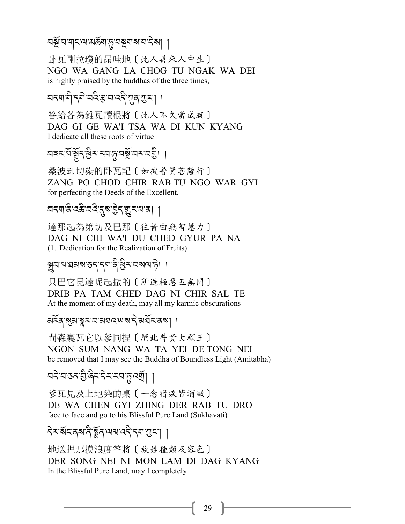## বর্ষু<sup>:</sup>ব<sup>:</sup>নাব:নার্স্কনা:প্রি:বর্ষনাপ্রাইনা ।

卧瓦剛拉瓊的昂哇地〔此人善來人中生〕 NGO WA GANG LA CHOG TU NGAK WA DEI is highly praised by the buddhas of the three times,

#### ব<্মাশী<্ৰী:বৰ্ষ: বৰ্ত্ত্ব', <mark>/</mark>- বৰ্ত্ত্ব', /-A<br>A<br>A

答給各為雜瓦讀根將〔此人不久當成就〕 DAG GI GE WA'I TSA WA DI KUN KYANG I dedicate all these roots of virtue

# *29% -0*R*-*,R*.-K* A*<-<2-*+*-2}*R*-2<-2I*A,,

桑波却切染的卧瓦記〔如彼普賢菩薩行〕 ZANG PO CHOD CHIR RAB TU NGO WAR GYI for perfecting the Deeds of the Excellent.

# বন্মান্ত্ৰীৰ্ষ্টৰ প্ৰিয়ৰ বিভিন্ন প্ৰমান বিভিন্ন প্ৰাৰম্ভ কৰি বিভিন্ন প্ৰমান বিভিন্ন প্ৰাৰম্ভ কৰি বিভিন্ন প্ৰ<br>বিভিন্ন প্ৰাৰম্ভ কৰি বিভিন্ন প্ৰয়োগ কৰি বিভিন্ন প্ৰতি কৰি বিভিন্ন প্ৰতি কৰি বিভিন্ন প্ৰাৰম্ভ কৰি বিভিন্ন প্ৰতি

達那起為第切及巴那〔往昔由無智慧力〕 DAG NI CHI WA'I DU CHED GYUR PA NA (1. Dedication for the Realization of Fruits)

# ৰ্শ্বন্নৰস্পৰ্কৰ বিভিন্ন প্ৰকাশ দি<mark>।</mark><br>স্থা

只巴它見達呢起撒的〔所造極惡五無間〕 DRIB PA TAM CHED DAG NI CHIR SAL TE At the moment of my death, may all my karmic obscurations

# *3%*R*/-*?*3-*\$*%-2-3 ,:-; ?-.* J*-3,*R*%-/?*,,

問森囊瓦它以爹同捏〔誦此普賢大願王〕 NGON SUM NANG WA TA YEI DE TONG NEI be removed that I may see the Buddha of Boundless Light (Amitabha)

## ব্র*্*যস্ত্র ব্রান্ত ব্রান্ত প্রদাসিক<br>বিদ্যালয়

爹瓦見及上地染的桌〔一念宿疾皆消滅〕 DE WA CHEN GYI ZHING DER RAB TU DRO face to face and go to his Blissful Pure Land (Sukhavati)

# ব্*≺ষ্গ*্ৰৰ স্প্ৰান্ত্ৰ স্পৰ্ট স্পৰ্টি ।

地送捏那摸浪度答將〔族姓種類及容色〕 DER SONG NEI NI MON LAM DI DAG KYANG In the Blissful Pure Land, may I completely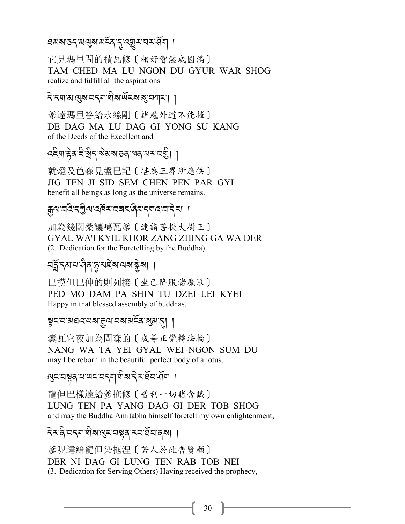### 

它見瑪里問的積瓦修〔相好智慧咸圓滿〕 TAM CHED MA LU NGON DU GYUR WAR SHOG realize and fulfill all the aspirations

देन्द्रवास सुरु वद् वा बीरु संदरु सु व वाद।

爹達瑪里答給永絲剛〔諸魔外道不能摧〕 DE DAG MA LU DAG GI YONG SU KANG of the Deeds of the Excellent and

ক্ষ্ণীয় বিদ্ৰুত্তি প্ৰাৰ্থ কৰি বিদ্যালয় ।

就燈及色森見盤巴記〔堪為三界所應供〕 JIG TEN JI SID SEM CHEN PEN PAR GYI benefit all beings as long as the universe remains.

क्यायदेन्गुलावर्षेरायबदादेरायादयानेसा ।

加為幾闊桑讓噶瓦爹〔速詣菩提大樹王〕 GYAL WA'I KYIL KHOR ZANG ZHING GA WA DER (2. Dedication for the Foretelling by the Buddha)

#### নৰ্দ্ধব্যখন্দ্ৰ বিদ্যুত্তাৰ বিদ্যালয়ৰ সম্বৰ্

巴摸但巴伸的則列接〔坐己降服諸魔眾〕 PED MO DAM PA SHIN TU DZEI LEI KYEI Happy in that blessed assembly of buddhas,

#### য়ৢৼৼ৸য়ঀড়৻ড়৶য়৸৻৸৸ৼ৸ৼৢৼ৻৸৾

囊瓦它夜加為問森的〔成等正覺轉法輪〕 NANG WA TA YEI GYAL WEI NGON SUM DU may I be reborn in the beautiful perfect body of a lotus,

#### *લु*द्रदञ्जदायण्डदद्याशैव्यद्रदेवस्य ।

龍但巴樣達給爹拖修〔普利一切諸含識〕 LUNG TEN PA YANG DAG GI DER TOB SHOG and may the Buddha Amitabha himself foretell my own enlightenment,

### देश्वे वद्यायोबालुरावञ्चतास्य र्वेवादबा ।

爹呢達給龍但染拖涅〔若人於此普賢願〕 DER NI DAG GI LUNG TEN RAB TOB NEI (3. Dedication for Serving Others) Having received the prophecy,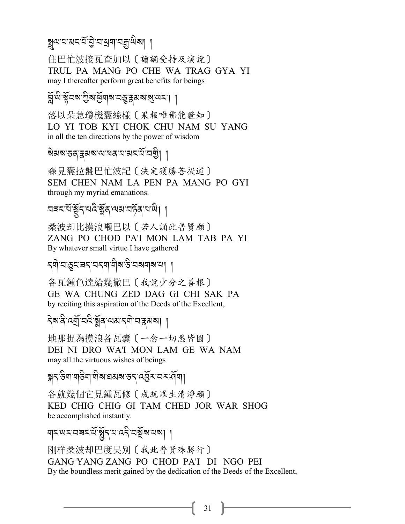3*=-0-3% -0*R*-L* J*-2-U\$-2o-;* A*?*,,

住巴忙波接瓦查加以〔讀誦受持及演說〕 TRUL PA MANG PO CHE WA TRAG GYA YI may I thereafter perform great benefits for beings

 $\widetilde{A}$ <sup>.</sup>ଜ୍ୟ <u>କ୍ଷି</u>ୟ ଅନ୍ତି <u>ମାର୍କ୍ଟ୍ୟ ଅନ୍ତି ।</u>

落以朵急瓊機囊絲樣〔果報唯佛能證知〕 LO YI TOB KYI CHOK CHU NAM SU YANG in all the ten directions by the power of wisdom

ৰ্ষ্মৰাস্তৰ্'ক্ল্মৰাম্মৰ্শনাস্ত্ৰ<sup>্য</sup>াৰম্ভী |

森見囊拉盤巴忙波記〔決定獲勝菩提道〕 SEM CHEN NAM LA PEN PA MANG PO GYI through my myriad emanations.

বৰনৰ্ম:ৰ্ষ্টুন্'নন্বিপ্পৰামক্ট্ৰ'ন'<sup>ন্ত্ৰ</sup>| |

桑波却比摸浪噸巴以〔若人誦此普賢願〕 ZANG PO CHOD PA'I MON LAM TAB PA YI By whatever small virtue I have gathered

*.\$* J*-2-*&*%-9.-2.\$-\$* A*?-&* A*-2?\$?-0*,,

各瓦鍾色達給幾撒巴〔我說少分之善根〕 GE WA CHUNG ZED DAG GI CHI SAK PA by reciting this aspiration of the Deeds of the Excellent,

ব্ৰু*ন্ম্ৰ্*নিত্ত্বপ্পৰা বিভিন্ন প্ৰাপ্ত (

地那捉為摸浪各瓦囊〔一念一切悉皆圓〕 DEI NI DRO WA'I MON LAM GE WA NAM may all the virtuous wishes of beings

ৰ্শ্ন<sup>-</sup>উশ্'শ্<sup>হৰ</sup>শ<sup>্</sup>শৰ স্বৰ্ষ্মস্কৰ্ণ কৰি স্পৰ্ট স

各就幾個它見鍾瓦修〔成就眾生清淨願〕 KED CHIG CHIG GI TAM CHED JOR WAR SHOG be accomplished instantly.

ম্বৰ্য - <u>(</u>Xarabali II)<br>Respectively A

刚样桑波却巴度吴别〔我此普賢殊勝行〕 GANG YANG ZANG PO CHOD PA'I DI NGO PEI By the boundless merit gained by the dedication of the Deeds of the Excellent,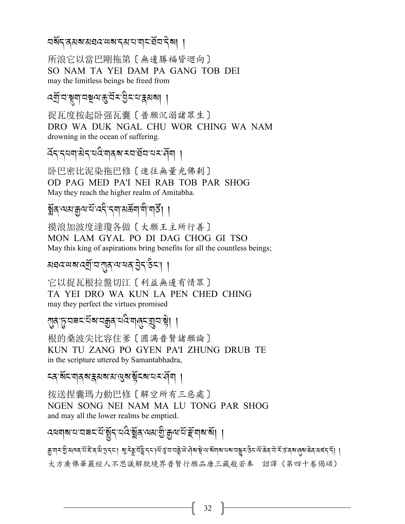## বর্ষন্<sup>:</sup>ব্রম্বামেঘ্রশ্মেষ্র্দ্রশ্মাত্র্বিন্দ্রিষ্| |

所浪它以當巴剛拖第〔無邊勝福皆迴向〕 SO NAM TA YEI DAM PA GANG TOB DEI may the limitless beings be freed from

# ৰ্ম্ৰ্<sup>,</sup>অংশ্লুম্প্ৰমন্ত্ৰীয় ( <mark>-</mark>

捉瓦度按起卧强瓦囊〔普願沉溺諸眾生〕 DRO WA DUK NGAL CHU WOR CHING WA NAM drowning in the ocean of suffering.

 $\widetilde{\alpha}$ ন্দ্ৰশাৰীন্দ্ৰীয় স্বাৰ্থ স্বাৰ্থ স্বাৰ্থ বি

卧巴密比泥染拖巴修〔速往無量光佛剎〕 OD PAG MED PA'I NEI RAB TOB PAR SHOG May they reach the higher realm of Amitabha.

# ৰ্ক্সব<sup>,</sup>অম:ক্সুঅ'ৰ্ম'বৰ্মী, বিমানী, বাৰ্ষী ।

摸浪加波度達瓊各做〔大願王主所行善〕 MON LAM GYAL PO DI DAG CHOG GI TSO May this king of aspirations bring benefits for all the countless beings;

## *3,:-; ?-:P*R*-2-*!*/-=-1 /-L* J*.-&* A*%-*,,

它以捉瓦根拉盤切江〔利益無邊有情眾〕 TA YEI DRO WA KUN LA PEN CHED CHING may they perfect the virtues promised

# !*/-*+*-29% -0*R*?-2o/-0:* A*-\$*8*%-*P*2-*!J,,

根的桑波尖比容住爹〔圓满普賢諸願論〕 KUN TU ZANG PO GYEN PA'I ZHUNG DRUB TE in the scripture uttered by Samantabhadra,

#### *≍ষ্`ষ্*যিমান্ত্ৰাস্থ্ৰাস্থ্ৰাস্থ্ৰাস্থ্ৰাস্থ্ৰাস্থ্ৰাস্থ্ৰাস্থ্ৰা

按送捏囊瑪力動巴修〔解空所有三惡處〕 NGEN SONG NEI NAM MA LU TONG PAR SHOG and may all the lower realms be emptied.

#### *-*<br>বৰবাৰ বাবেৰবৰ্ত্ত ষ্ট্ৰব্ৰি, বিদ্বেপ্পিয়ে বিদ্ৰোপন্থা । A The contract of the contract of the contract of the contract of the contract of the contract of the contract of the contract of the contract of the contract of the contract of the contract of the contract of the contract

ङ्गणराष्ट्री अवत् संदितश्चे प्रदेश अस्ति । यो अस्ति । अस्य अस्ति अस्ति अस्ति । अस्ति अस्ति अस्ति अस्ति । अस्ति 大方廣佛華嚴經人不思議解脫境界普賢行願品唐三藏般若奉 詔譯(第四十卷偈頌)